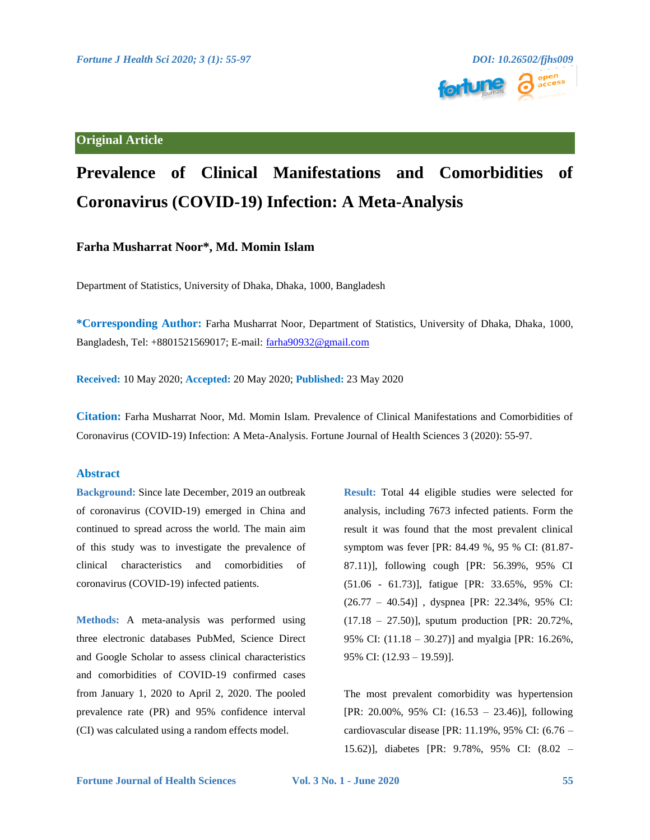

## **Original Article**

# **Prevalence of Clinical Manifestations and Comorbidities of Coronavirus (COVID-19) Infection: A Meta-Analysis**

### **Farha Musharrat Noor\*, Md. Momin Islam**

Department of Statistics, University of Dhaka, Dhaka, 1000, Bangladesh

**\*Corresponding Author:** Farha Musharrat Noor, Department of Statistics, University of Dhaka, Dhaka, 1000, Bangladesh, Tel: +8801521569017; E-mail: [farha90932@gmail.com](mailto:farha90932@gmail.com)

**Received:** 10 May 2020; **Accepted:** 20 May 2020; **Published:** 23 May 2020

**Citation:** Farha Musharrat Noor, Md. Momin Islam. Prevalence of Clinical Manifestations and Comorbidities of Coronavirus (COVID-19) Infection: A Meta-Analysis. Fortune Journal of Health Sciences 3 (2020): 55-97.

### **Abstract**

**Background:** Since late December, 2019 an outbreak of coronavirus (COVID-19) emerged in China and continued to spread across the world. The main aim of this study was to investigate the prevalence of clinical characteristics and comorbidities of coronavirus (COVID-19) infected patients.

**Methods:** A meta-analysis was performed using three electronic databases PubMed, Science Direct and Google Scholar to assess clinical characteristics and comorbidities of COVID-19 confirmed cases from January 1, 2020 to April 2, 2020. The pooled prevalence rate (PR) and 95% confidence interval (CI) was calculated using a random effects model.

**Result:** Total 44 eligible studies were selected for analysis, including 7673 infected patients. Form the result it was found that the most prevalent clinical symptom was fever [PR: 84.49 %, 95 % CI: (81.87- 87.11)], following cough [PR: 56.39%, 95% CI (51.06 - 61.73)], fatigue [PR: 33.65%, 95% CI: (26.77 – 40.54)] , dyspnea [PR: 22.34%, 95% CI: (17.18 – 27.50)], sputum production [PR: 20.72%, 95% CI: (11.18 – 30.27)] and myalgia [PR: 16.26%, 95% CI: (12.93 – 19.59)].

The most prevalent comorbidity was hypertension [PR: 20.00%, 95% CI: (16.53 – 23.46)], following cardiovascular disease [PR: 11.19%, 95% CI: (6.76 – 15.62)], diabetes [PR: 9.78%, 95% CI: (8.02 –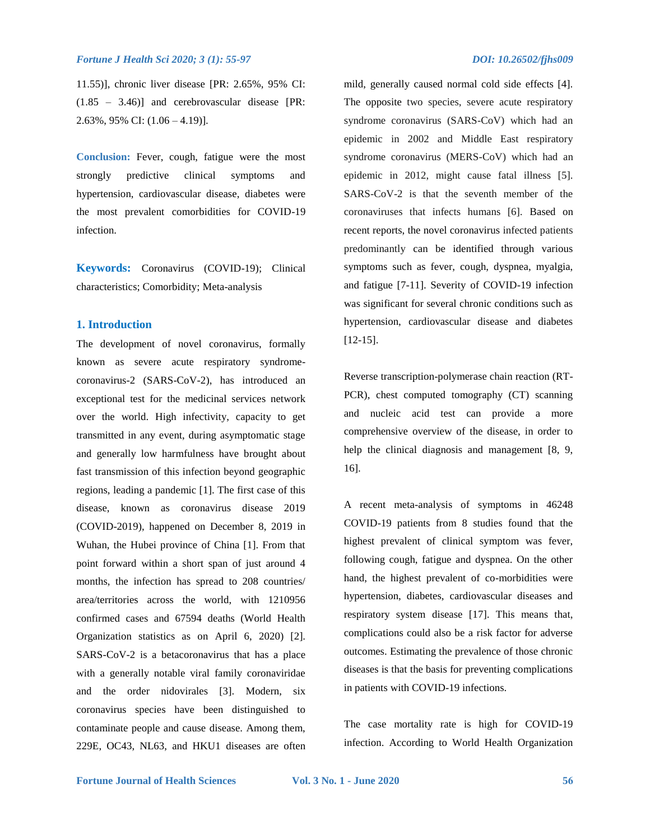11.55)], chronic liver disease [PR: 2.65%, 95% CI: (1.85 – 3.46)] and cerebrovascular disease [PR: 2.63%, 95% CI: (1.06 – 4.19)].

**Conclusion:** Fever, cough, fatigue were the most strongly predictive clinical symptoms and hypertension, cardiovascular disease, diabetes were the most prevalent comorbidities for COVID-19 infection.

**Keywords:** Coronavirus (COVID-19); Clinical characteristics; Comorbidity; Meta-analysis

#### **1. Introduction**

The development of novel coronavirus, formally known as severe acute respiratory syndromecoronavirus-2 (SARS-CoV-2), has introduced an exceptional test for the medicinal services network over the world. High infectivity, capacity to get transmitted in any event, during asymptomatic stage and generally low harmfulness have brought about fast transmission of this infection beyond geographic regions, leading a pandemic [1]. The first case of this disease, known as coronavirus disease 2019 (COVID-2019), happened on December 8, 2019 in Wuhan, the Hubei province of China [1]. From that point forward within a short span of just around 4 months, the infection has spread to 208 countries/ area/territories across the world, with 1210956 confirmed cases and 67594 deaths (World Health Organization statistics as on April 6, 2020) [2]. SARS-CoV-2 is a betacoronavirus that has a place with a generally notable viral family coronaviridae and the order nidovirales [3]. Modern, six coronavirus species have been distinguished to contaminate people and cause disease. Among them, 229E, OC43, NL63, and HKU1 diseases are often mild, generally caused normal cold side effects [4]. The opposite two species, severe acute respiratory syndrome coronavirus (SARS-CoV) which had an epidemic in 2002 and Middle East respiratory syndrome coronavirus (MERS-CoV) which had an epidemic in 2012, might cause fatal illness [5]. SARS-CoV-2 is that the seventh member of the coronaviruses that infects humans [6]. Based on recent reports, the novel coronavirus infected patients predominantly can be identified through various symptoms such as fever, cough, dyspnea, myalgia, and fatigue [7-11]. Severity of COVID-19 infection was significant for several chronic conditions such as hypertension, cardiovascular disease and diabetes [12-15].

Reverse transcription-polymerase chain reaction (RT-PCR), chest computed tomography (CT) scanning and nucleic acid test can provide a more comprehensive overview of the disease, in order to help the clinical diagnosis and management [8, 9, 16].

A recent meta-analysis of symptoms in 46248 COVID-19 patients from 8 studies found that the highest prevalent of clinical symptom was fever, following cough, fatigue and dyspnea. On the other hand, the highest prevalent of co-morbidities were hypertension, diabetes, cardiovascular diseases and respiratory system disease [17]. This means that, complications could also be a risk factor for adverse outcomes. Estimating the prevalence of those chronic diseases is that the basis for preventing complications in patients with COVID-19 infections.

The case mortality rate is high for COVID-19 infection. According to World Health Organization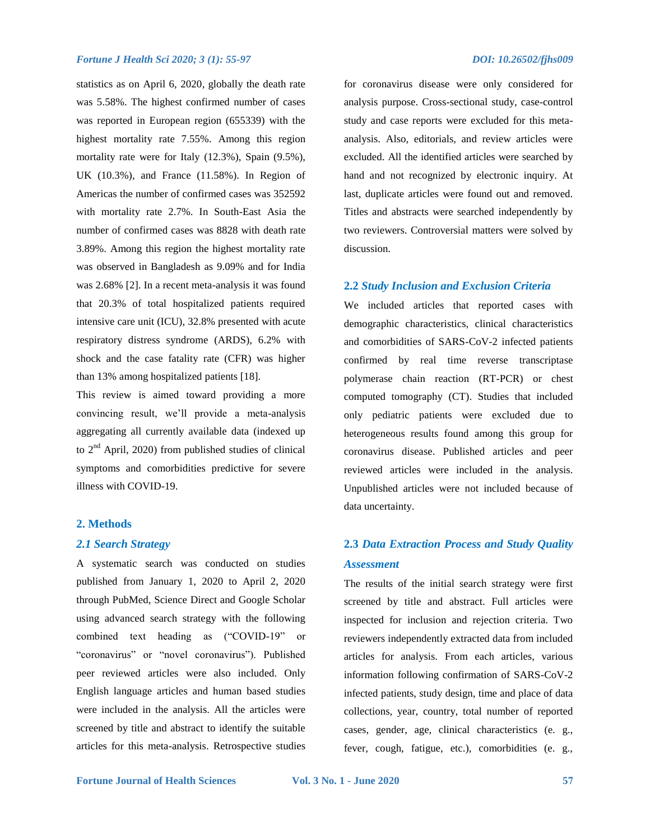statistics as on April 6, 2020, globally the death rate was 5.58%. The highest confirmed number of cases was reported in European region (655339) with the highest mortality rate 7.55%. Among this region mortality rate were for Italy (12.3%), Spain (9.5%), UK (10.3%), and France (11.58%). In Region of Americas the number of confirmed cases was 352592 with mortality rate 2.7%. In South-East Asia the number of confirmed cases was 8828 with death rate 3.89%. Among this region the highest mortality rate was observed in Bangladesh as 9.09% and for India was 2.68% [2]. In a recent meta-analysis it was found that 20.3% of total hospitalized patients required intensive care unit (ICU), 32.8% presented with acute respiratory distress syndrome (ARDS), 6.2% with shock and the case fatality rate (CFR) was higher than 13% among hospitalized patients [18].

This review is aimed toward providing a more convincing result, we'll provide a meta-analysis aggregating all currently available data (indexed up to  $2<sup>nd</sup>$  April, 2020) from published studies of clinical symptoms and comorbidities predictive for severe illness with COVID-19.

#### **2. Methods**

### *2.1 Search Strategy*

A systematic search was conducted on studies published from January 1, 2020 to April 2, 2020 through PubMed, Science Direct and Google Scholar using advanced search strategy with the following combined text heading as ("COVID-19" or "coronavirus" or "novel coronavirus"). Published peer reviewed articles were also included. Only English language articles and human based studies were included in the analysis. All the articles were screened by title and abstract to identify the suitable articles for this meta-analysis. Retrospective studies for coronavirus disease were only considered for analysis purpose. Cross-sectional study, case-control study and case reports were excluded for this metaanalysis. Also, editorials, and review articles were excluded. All the identified articles were searched by hand and not recognized by electronic inquiry. At last, duplicate articles were found out and removed. Titles and abstracts were searched independently by two reviewers. Controversial matters were solved by discussion.

#### **2.2** *Study Inclusion and Exclusion Criteria*

We included articles that reported cases with demographic characteristics, clinical characteristics and comorbidities of SARS-CoV-2 infected patients confirmed by real time reverse transcriptase polymerase chain reaction (RT-PCR) or chest computed tomography (CT). Studies that included only pediatric patients were excluded due to heterogeneous results found among this group for coronavirus disease. Published articles and peer reviewed articles were included in the analysis. Unpublished articles were not included because of data uncertainty.

## **2.3** *Data Extraction Process and Study Quality Assessment*

The results of the initial search strategy were first screened by title and abstract. Full articles were inspected for inclusion and rejection criteria. Two reviewers independently extracted data from included articles for analysis. From each articles, various information following confirmation of SARS-CoV-2 infected patients, study design, time and place of data collections, year, country, total number of reported cases, gender, age, clinical characteristics (e. g., fever, cough, fatigue, etc.), comorbidities (e. g.,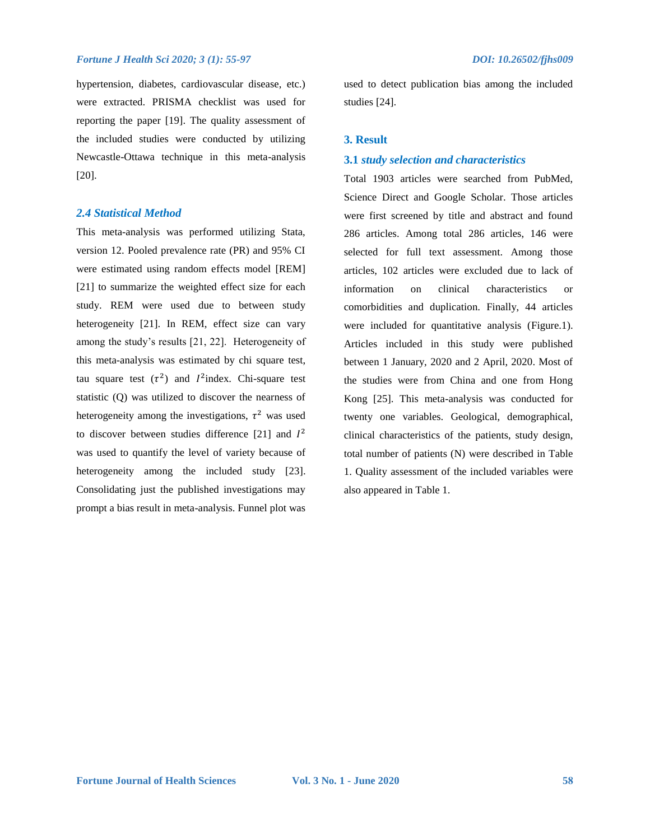hypertension, diabetes, cardiovascular disease, etc.) were extracted. PRISMA checklist was used for reporting the paper [19]. The quality assessment of the included studies were conducted by utilizing Newcastle-Ottawa technique in this meta-analysis [20].

### *2.4 Statistical Method*

This meta-analysis was performed utilizing Stata, version 12. Pooled prevalence rate (PR) and 95% CI were estimated using random effects model [REM] [21] to summarize the weighted effect size for each study. REM were used due to between study heterogeneity [21]. In REM, effect size can vary among the study's results [21, 22]. Heterogeneity of this meta-analysis was estimated by chi square test, tau square test  $(\tau^2)$  and  $I^2$ index. Chi-square test statistic (Q) was utilized to discover the nearness of heterogeneity among the investigations,  $\tau^2$  was used to discover between studies difference [21] and  $I^2$ was used to quantify the level of variety because of heterogeneity among the included study [23]. Consolidating just the published investigations may prompt a bias result in meta-analysis. Funnel plot was used to detect publication bias among the included studies [24].

#### **3. Result**

#### **3.1** *study selection and characteristics*

Total 1903 articles were searched from PubMed, Science Direct and Google Scholar. Those articles were first screened by title and abstract and found 286 articles. Among total 286 articles, 146 were selected for full text assessment. Among those articles, 102 articles were excluded due to lack of information on clinical characteristics or comorbidities and duplication. Finally, 44 articles were included for quantitative analysis (Figure.1). Articles included in this study were published between 1 January, 2020 and 2 April, 2020. Most of the studies were from China and one from Hong Kong [25]. This meta-analysis was conducted for twenty one variables. Geological, demographical, clinical characteristics of the patients, study design, total number of patients (N) were described in Table 1. Quality assessment of the included variables were also appeared in Table 1.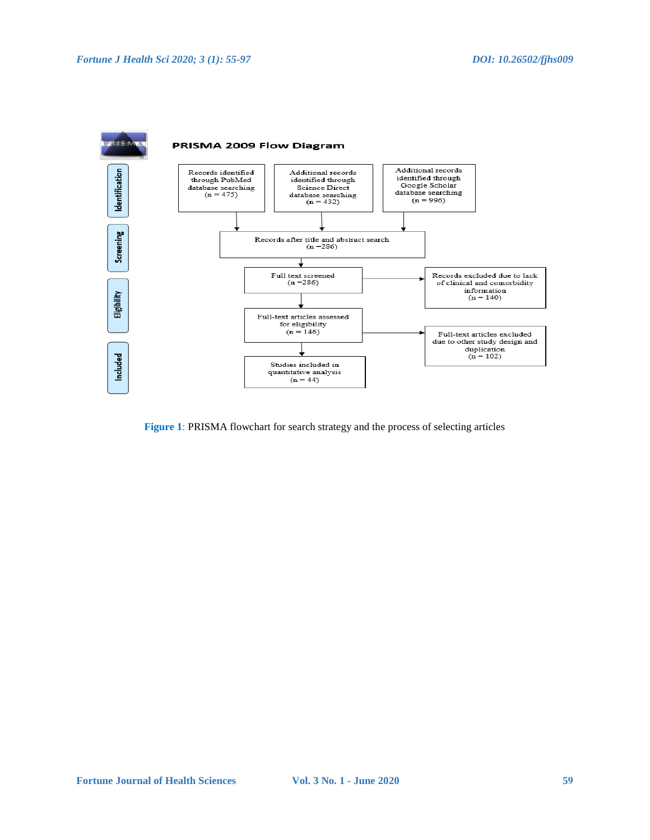

**Figure 1**: PRISMA flowchart for search strategy and the process of selecting articles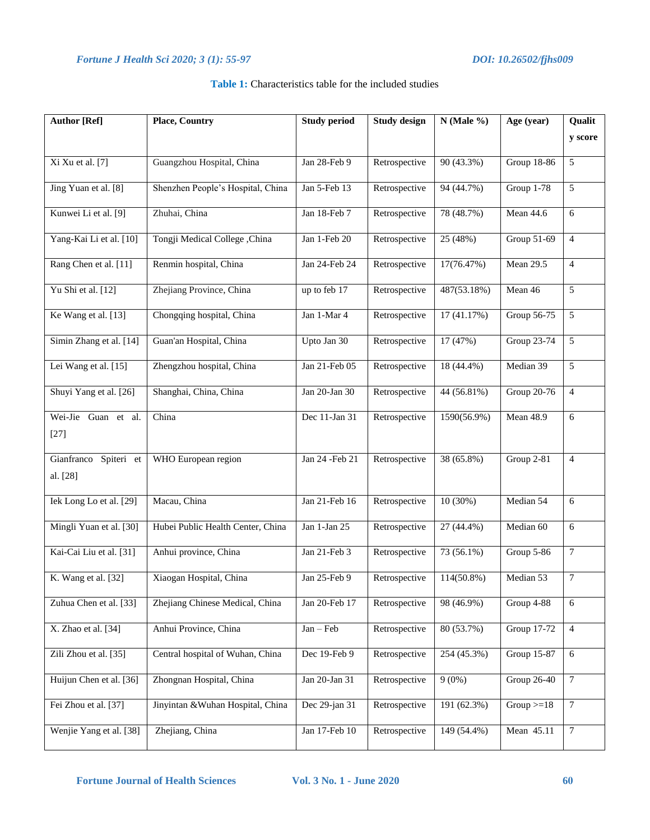| <b>Author</b> [Ref]               | <b>Place, Country</b>             | <b>Study period</b> | <b>Study design</b> | $N$ (Male %)  | Age (year)         | Qualit         |  |
|-----------------------------------|-----------------------------------|---------------------|---------------------|---------------|--------------------|----------------|--|
|                                   |                                   |                     |                     |               |                    | y score        |  |
| Xi Xu et al. [7]                  | Guangzhou Hospital, China         | Jan 28-Feb 9        | Retrospective       | 90(43.3%)     | <b>Group 18-86</b> | 5              |  |
| Jing Yuan et al. [8]              | Shenzhen People's Hospital, China | Jan 5-Feb 13        | Retrospective       | 94 (44.7%)    | Group 1-78         | 5              |  |
| Kunwei Li et al. [9]              | Zhuhai, China                     | Jan 18-Feb 7        | Retrospective       | 78 (48.7%)    | <b>Mean 44.6</b>   | 6              |  |
| Yang-Kai Li et al. [10]           | Tongji Medical College , China    | Jan 1-Feb 20        | Retrospective       | 25 (48%)      | Group 51-69        | $\overline{4}$ |  |
| Rang Chen et al. [11]             | Renmin hospital, China            | Jan 24-Feb 24       | Retrospective       | 17(76.47%)    | <b>Mean 29.5</b>   | $\overline{4}$ |  |
| Yu Shi et al. [12]                | Zhejiang Province, China          | up to feb 17        | Retrospective       | 487(53.18%)   | Mean 46            | 5              |  |
| Ke Wang et al. [13]               | Chongqing hospital, China         | Jan 1-Mar 4         | Retrospective       | 17(41.17%)    |                    | 5              |  |
| Simin Zhang et al. [14]           | Guan'an Hospital, China           | Upto Jan 30         | Retrospective       | 17 (47%)      | Group 23-74        | $\overline{5}$ |  |
| Lei Wang et al. [15]              | Zhengzhou hospital, China         | Jan 21-Feb 05       | Retrospective       | 18 (44.4%)    | Median 39          | 5              |  |
| Shuyi Yang et al. [26]            | Shanghai, China, China            | Jan 20-Jan 30       | Retrospective       | 44 (56.81%)   | <b>Group 20-76</b> | $\overline{4}$ |  |
| Wei-Jie<br>Guan et al.<br>$[27]$  | China                             | Dec 11-Jan 31       | Retrospective       | 1590(56.9%)   | Mean 48.9          | 6              |  |
| Gianfranco Spiteri et<br>al. [28] | WHO European region               | Jan 24 - Feb 21     | Retrospective       | 38 (65.8%)    | Group 2-81         | $\overline{4}$ |  |
| Iek Long Lo et al. [29]           | Macau, China                      | Jan 21-Feb 16       | Retrospective       | 10(30%)       | Median 54          | 6              |  |
| Mingli Yuan et al. [30]           | Hubei Public Health Center, China | Jan $1$ -Jan $25$   | Retrospective       | $27(44.4\%)$  | Median 60          | 6              |  |
| Kai-Cai Liu et al. [31]           | Anhui province, China             | Jan 21-Feb 3        | Retrospective       | 73 (56.1%)    | Group 5-86         | $\tau$         |  |
| K. Wang et al. [32]               | Xiaogan Hospital, China           | Jan 25-Feb 9        | Retrospective       | $114(50.8\%)$ | Median 53          | $\overline{7}$ |  |
| Zuhua Chen et al. [33]            | Zhejiang Chinese Medical, China   | Jan 20-Feb 17       | Retrospective       | 98 (46.9%)    | Group 4-88         | 6              |  |
| X. Zhao et al. [34]               | Anhui Province, China             | $Jan - Feb$         | Retrospective       | 80 (53.7%)    | <b>Group 17-72</b> | $\overline{4}$ |  |
| Zili Zhou et al. [35]             | Central hospital of Wuhan, China  | Dec 19-Feb 9        | Retrospective       | 254 (45.3%)   | Group 15-87        | 6              |  |

### **Table 1:** Characteristics table for the included studies

Huijun Chen et al. [36] Zhongnan Hospital, China Jan 20-Jan 31 Retrospective 9 (0%) Group 26-40 7

Fei Zhou et al. [37] Jinyintan &Wuhan Hospital, China Dec 29-jan 31 Retrospective 191 (62.3%) Group >=18 7

Wenjie Yang et al. [38] Zhejiang, China Jan 17-Feb 10 Retrospective 149 (54.4%) Mean 45.11 7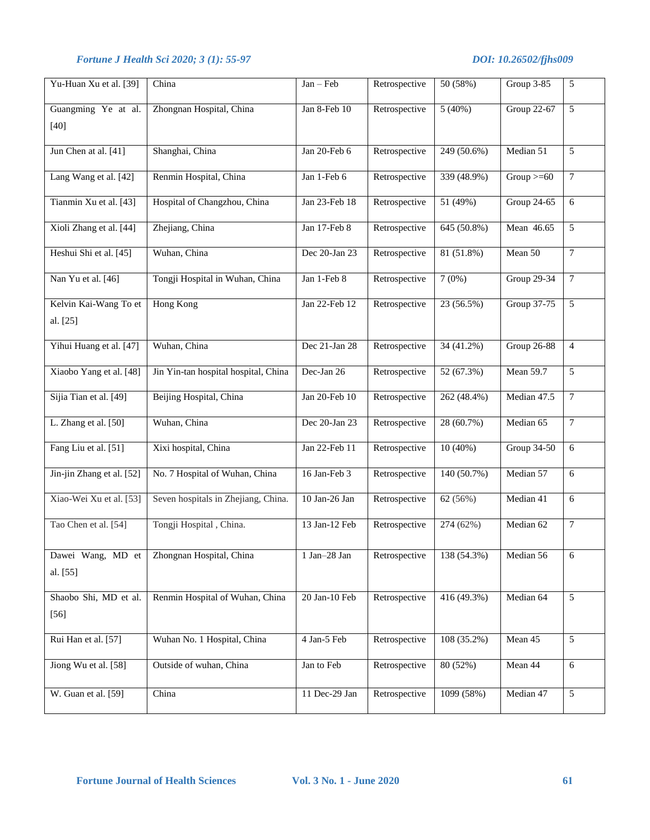| Yu-Huan Xu et al. [39]            | China                                | Jan - Feb         | Retrospective | 50 (58%)      | Group 3-85         | 5              |
|-----------------------------------|--------------------------------------|-------------------|---------------|---------------|--------------------|----------------|
| Guangming Ye at al.<br>$[40]$     | Zhongnan Hospital, China             | Jan 8-Feb 10      | Retrospective | 5(40%)        | Group 22-67        | 5              |
| Jun Chen at al. [41]              | Shanghai, China                      | Jan 20-Feb 6      | Retrospective | 249 (50.6%)   | Median 51          | 5              |
| Lang Wang et al. [42]             | Renmin Hospital, China               | Jan 1-Feb 6       | Retrospective | 339 (48.9%)   | Group $>= 60$      | $\overline{7}$ |
| Tianmin Xu et al. [43]            | Hospital of Changzhou, China         | Jan 23-Feb 18     | Retrospective | 51 (49%)      | Group 24-65        | 6              |
| Xioli Zhang et al. [44]           | Zhejiang, China                      | Jan 17-Feb 8      | Retrospective | $645(50.8\%)$ | Mean 46.65         | 5              |
| Heshui Shi et al. [45]            | Wuhan, China                         | Dec 20-Jan 23     | Retrospective | 81 (51.8%)    | Mean 50            | $\overline{7}$ |
| Nan Yu et al. [46]                | Tongji Hospital in Wuhan, China      | Jan 1-Feb 8       | Retrospective | 7(0%)         | Group 29-34        | $\overline{7}$ |
| Kelvin Kai-Wang To et<br>al. [25] | <b>Hong Kong</b>                     | Jan 22-Feb 12     | Retrospective | 23 (56.5%)    | Group 37-75        | 5              |
| Yihui Huang et al. [47]           | Wuhan, China                         | Dec 21-Jan 28     | Retrospective | 34(41.2%)     | <b>Group 26-88</b> | $\overline{4}$ |
| Xiaobo Yang et al. [48]           | Jin Yin-tan hospital hospital, China | Dec-Jan 26        | Retrospective | 52 (67.3%)    | <b>Mean 59.7</b>   | 5              |
| Sijia Tian et al. [49]            | Beijing Hospital, China              | Jan 20-Feb 10     | Retrospective | 262 (48.4%)   | Median 47.5        | $\tau$         |
| L. Zhang et al. [50]              | Wuhan, China                         | Dec 20-Jan 23     | Retrospective | 28 (60.7%)    | Median 65          | $\tau$         |
| Fang Liu et al. [51]              | Xixi hospital, China                 | Jan 22-Feb 11     | Retrospective | $10(40\%)$    | Group 34-50        | 6              |
| Jin-jin Zhang et al. [52]         | No. 7 Hospital of Wuhan, China       | 16 Jan-Feb 3      | Retrospective | 140 (50.7%)   | Median 57          | 6              |
| Xiao-Wei Xu et al. [53]           | Seven hospitals in Zhejiang, China.  | 10 Jan-26 Jan     | Retrospective | 62 (56%)      | Median 41          | 6              |
| Tao Chen et al. [54]              | Tongji Hospital, China.              | 13 Jan-12 Feb     | Retrospective | 274 (62%)     | Median 62          | $\tau$         |
| Dawei Wang, MD et<br>al. [55]     | Zhongnan Hospital, China             | $1$ Jan $-28$ Jan | Retrospective | 138 (54.3%)   | Median 56          | 6              |
| Shaobo Shi, MD et al.<br>$[56]$   | Renmin Hospital of Wuhan, China      | 20 Jan-10 Feb     | Retrospective | 416(49.3%)    | Median 64          | $\overline{5}$ |
| Rui Han et al. [57]               | Wuhan No. 1 Hospital, China          | 4 Jan-5 Feb       | Retrospective | 108 (35.2%)   | Mean 45            | 5              |
| Jiong Wu et al. [58]              | Outside of wuhan, China              | Jan to Feb        | Retrospective | 80 (52%)      | Mean 44            | $6\,$          |
| W. Guan et al. [59]               | China                                | 11 Dec-29 Jan     | Retrospective | 1099 (58%)    | Median 47          | 5              |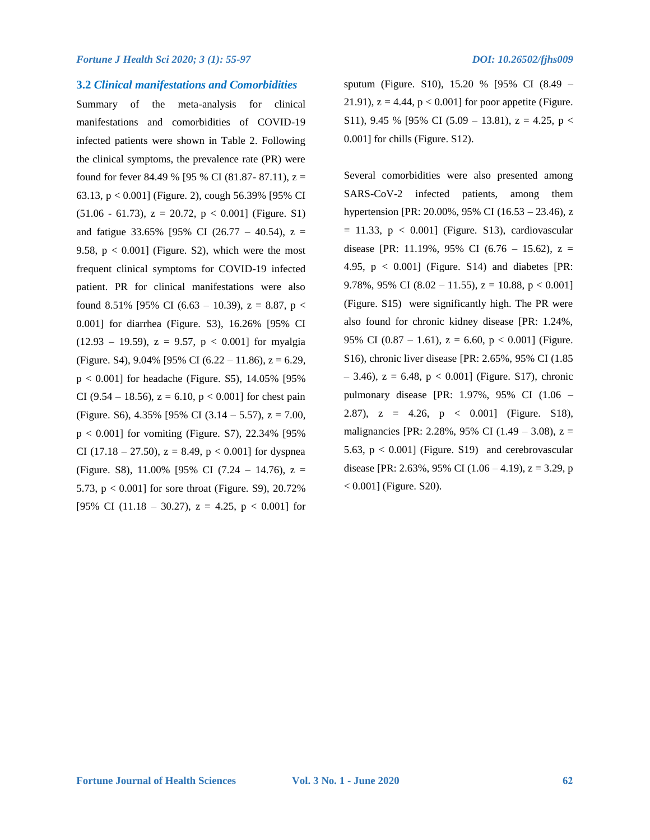#### **3.2** *Clinical manifestations and Comorbidities*

Summary of the meta-analysis for clinical manifestations and comorbidities of COVID-19 infected patients were shown in Table 2. Following the clinical symptoms, the prevalence rate (PR) were found for fever 84.49 % [95 % CI (81.87- 87.11),  $z =$ 63.13, p < 0.001] (Figure. 2), cough 56.39% [95% CI  $(51.06 - 61.73)$ ,  $z = 20.72$ ,  $p < 0.001$  (Figure. S1) and fatigue 33.65% [95% CI (26.77 – 40.54),  $z =$ 9.58,  $p < 0.001$  (Figure. S2), which were the most frequent clinical symptoms for COVID-19 infected patient. PR for clinical manifestations were also found 8.51% [95% CI (6.63 – 10.39),  $z = 8.87$ ,  $p <$ 0.001] for diarrhea (Figure. S3), 16.26% [95% CI  $(12.93 - 19.59)$ ,  $z = 9.57$ ,  $p < 0.001$  for myalgia (Figure. S4),  $9.04\%$  [95% CI (6.22 – 11.86),  $z = 6.29$ ,  $p < 0.001$ ] for headache (Figure. S5), 14.05% [95%] CI (9.54 – 18.56),  $z = 6.10$ ,  $p < 0.001$  for chest pain (Figure. S6),  $4.35\%$  [95% CI (3.14 – 5.57),  $z = 7.00$ ,  $p < 0.001$ ] for vomiting (Figure. S7), 22.34% [95%] CI (17.18 – 27.50),  $z = 8.49$ ,  $p < 0.001$ ] for dyspnea (Figure. S8), 11.00% [95% CI (7.24 – 14.76),  $z =$ 5.73, p < 0.001] for sore throat (Figure. S9), 20.72% [95% CI (11.18 – 30.27),  $z = 4.25$ ,  $p < 0.001$ ] for sputum (Figure. S10), 15.20 % [95% CI (8.49 – 21.91),  $z = 4.44$ ,  $p < 0.001$  for poor appetite (Figure. S11), 9.45 % [95% CI (5.09 – 13.81),  $z = 4.25$ ,  $p <$ 0.001] for chills (Figure. S12).

Several comorbidities were also presented among SARS-CoV-2 infected patients, among them hypertension [PR: 20.00%, 95% CI (16.53 – 23.46), z  $= 11.33$ ,  $p < 0.001$  (Figure. S13), cardiovascular disease [PR: 11.19%, 95% CI (6.76 – 15.62),  $z =$ 4.95,  $p < 0.001$ ] (Figure. S14) and diabetes [PR: 9.78%, 95% CI (8.02 – 11.55),  $z = 10.88$ ,  $p < 0.001$ ] (Figure. S15) were significantly high. The PR were also found for chronic kidney disease [PR: 1.24%, 95% CI (0.87 – 1.61),  $z = 6.60$ ,  $p < 0.001$  (Figure. S16), chronic liver disease [PR: 2.65%, 95% CI (1.85 – 3.46), z = 6.48, p < 0.001] (Figure. S17), chronic pulmonary disease [PR: 1.97%, 95% CI (1.06 – 2.87),  $z = 4.26$ ,  $p < 0.001$  (Figure. S18), malignancies [PR: 2.28%, 95% CI (1.49 – 3.08),  $z =$ 5.63,  $p < 0.001$ ] (Figure. S19) and cerebrovascular disease [PR: 2.63%, 95% CI (1.06 – 4.19),  $z = 3.29$ , p  $< 0.001$ ] (Figure. S20).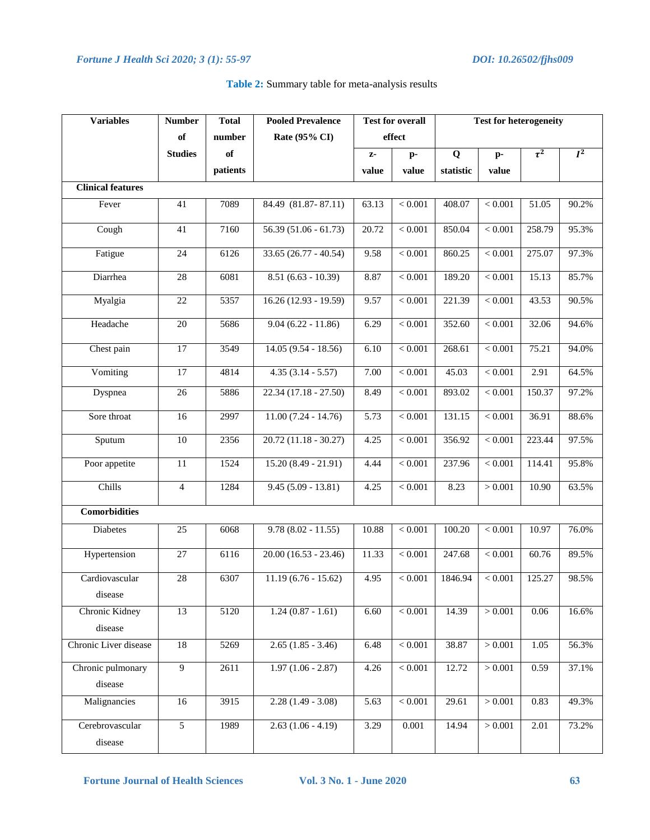| <b>Variables</b>             | <b>Number</b>   | <b>Total</b> | <b>Pooled Prevalence</b> | <b>Test for overall</b> |                | <b>Test for heterogeneity</b> |                |                    |       |
|------------------------------|-----------------|--------------|--------------------------|-------------------------|----------------|-------------------------------|----------------|--------------------|-------|
|                              | of              | number       | Rate (95% CI)            |                         | effect         |                               |                |                    |       |
|                              | <b>Studies</b>  | of           |                          | $Z-$                    | $p-$           | $\bf{Q}$                      | $\mathbf{p}$ - | $\tau^2$           | $I^2$ |
|                              |                 | patients     |                          | value                   | value          | statistic                     | value          |                    |       |
| <b>Clinical features</b>     |                 |              |                          |                         |                |                               |                |                    |       |
| Fever                        | 41              | 7089         | 84.49 (81.87-87.11)      | 63.13                   | $< 0.001$      | 408.07                        | $< 0.001$      | 51.05              | 90.2% |
| Cough                        | 41              | 7160         | $56.39(51.06 - 61.73)$   | $\overline{20.72}$      | $\sqrt{0.001}$ | 850.04                        | < 0.001        | 258.79             | 95.3% |
| Fatigue                      | 24              | 6126         | $33.65(26.77 - 40.54)$   | 9.58                    | $< 0.001$      | 860.25                        | $< 0.001$      | 275.07             | 97.3% |
| Diarrhea                     | $28\,$          | 6081         | $8.51(6.63 - 10.39)$     | 8.87                    | $< 0.001$      | 189.20                        | $< 0.001\,$    | 15.13              | 85.7% |
| Myalgia                      | 22              | 5357         | $16.26(12.93 - 19.59)$   | 9.57                    | < 0.001        | 221.39                        | < 0.001        | 43.53              | 90.5% |
| Headache                     | $\overline{20}$ | 5686         | $9.04(6.22 - 11.86)$     | 6.29                    | < 0.001        | 352.60                        | < 0.001        | 32.06              | 94.6% |
| Chest pain                   | 17              | 3549         | $14.05(9.54 - 18.56)$    | 6.10                    | < 0.001        | 268.61                        | < 0.001        | $\overline{7}5.21$ | 94.0% |
| Vomiting                     | $\overline{17}$ | 4814         | $4.35(3.14 - 5.57)$      | 7.00                    | $< 0.001$      | 45.03                         | $< 0.001$      | 2.91               | 64.5% |
| Dyspnea                      | 26              | 5886         | $22.34(17.18 - 27.50)$   | 8.49                    | < 0.001        | 893.02                        | $< 0.001$      | 150.37             | 97.2% |
| Sore throat                  | 16              | 2997         | $11.00(7.24 - 14.76)$    | 5.73                    | < 0.001        | 131.15                        | $< 0.001$      | 36.91              | 88.6% |
| Sputum                       | 10              | 2356         | $20.72(11.18 - 30.27)$   | 4.25                    | $< 0.001$      | 356.92                        | < 0.001        | 223.44             | 97.5% |
| Poor appetite                | 11              | 1524         | $15.20(8.49 - 21.91)$    | 4.44                    | < 0.001        | 237.96                        | $< 0.001$      | 114.41             | 95.8% |
| Chills                       | $\overline{4}$  | 1284         | $9.45(5.09 - 13.81)$     | 4.25                    | $< 0.001$      | 8.23                          | > 0.001        | 10.90              | 63.5% |
| <b>Comorbidities</b>         |                 |              |                          |                         |                |                               |                |                    |       |
| Diabetes                     | $\overline{25}$ | 6068         | $9.78(8.02 - 11.55)$     | 10.88                   | $< 0.001$      | 100.20                        | $< 0.001$      | 10.97              | 76.0% |
| Hypertension                 | 27              | 6116         | $20.00(16.53 - 23.46)$   | 11.33                   | $\sqrt{0.001}$ | 247.68                        | $< 0.001$      | $\overline{60.76}$ | 89.5% |
| Cardiovascular<br>disease    | $28\,$          | 6307         | $11.19(6.76 - 15.62)$    | 4.95                    | $< 0.001$      | 1846.94                       | < 0.001        | 125.27             | 98.5% |
| Chronic Kidney<br>disease    | 13              | 5120         | $1.24(0.87 - 1.61)$      | 6.60                    | $< 0.001$      | 14.39                         | > 0.001        | 0.06               | 16.6% |
| Chronic Liver disease        | 18              | 5269         | $2.65(1.85 - 3.46)$      | 6.48                    | $< 0.001$      | 38.87                         | > 0.001        | 1.05               | 56.3% |
| Chronic pulmonary<br>disease | $\overline{9}$  | 2611         | $1.97(1.06 - 2.87)$      | 4.26                    | < 0.001        | 12.72                         | > 0.001        | 0.59               | 37.1% |
| Malignancies                 | 16              | 3915         | $2.28(1.49 - 3.08)$      | 5.63                    | $< 0.001$      | 29.61                         | > 0.001        | 0.83               | 49.3% |
| Cerebrovascular<br>disease   | $\overline{5}$  | 1989         | $2.63(1.06 - 4.19)$      | 3.29                    | 0.001          | 14.94                         | > 0.001        | 2.01               | 73.2% |

#### **Table 2:** Summary table for meta-analysis results

**Fortune Journal of Health Sciences Vol. 3 No. 1 - June 2020 63**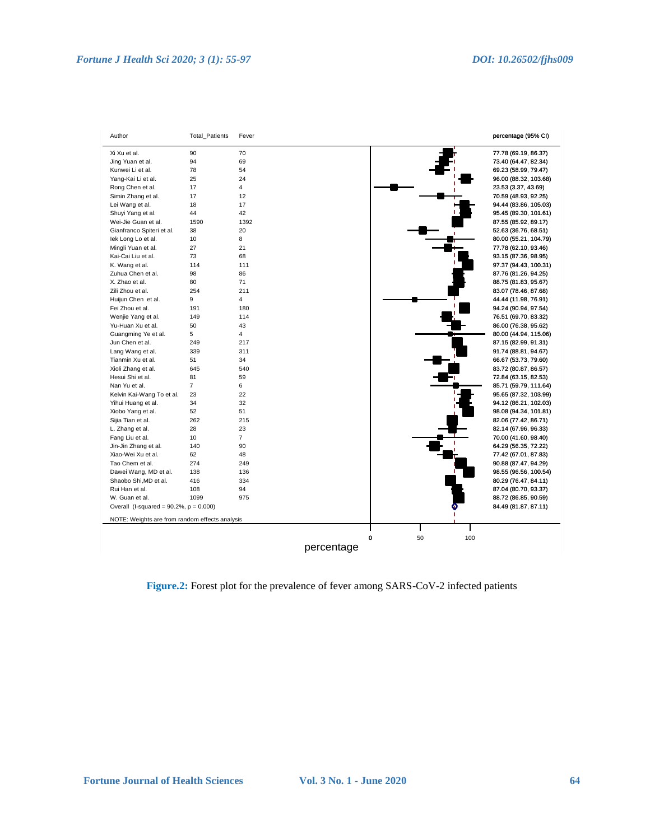

**Figure.2:** Forest plot for the prevalence of fever among SARS-CoV-2 infected patients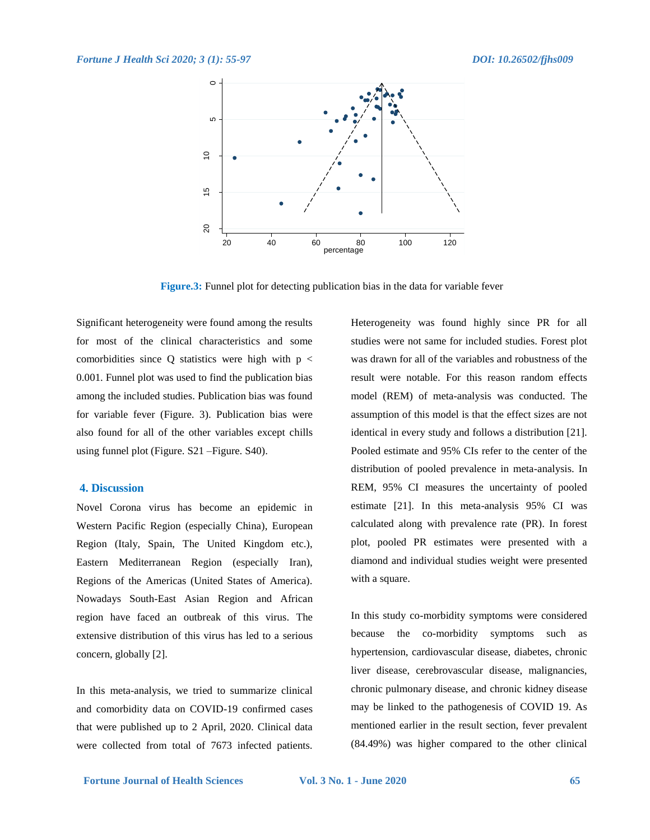

**Figure.3:** Funnel plot for detecting publication bias in the data for variable fever

Significant heterogeneity were found among the results for most of the clinical characteristics and some comorbidities since Q statistics were high with  $p <$ 0.001. Funnel plot was used to find the publication bias among the included studies. Publication bias was found for variable fever (Figure. 3). Publication bias were also found for all of the other variables except chills using funnel plot (Figure. S21 –Figure. S40).

#### **4. Discussion**

Novel Corona virus has become an epidemic in Western Pacific Region (especially China), European Region (Italy, Spain, The United Kingdom etc.), Eastern Mediterranean Region (especially Iran), Regions of the Americas (United States of America). Nowadays South-East Asian Region and African region have faced an outbreak of this virus. The extensive distribution of this virus has led to a serious concern, globally [2].

In this meta-analysis, we tried to summarize clinical and comorbidity data on COVID-19 confirmed cases that were published up to 2 April, 2020. Clinical data were collected from total of 7673 infected patients.

Heterogeneity was found highly since PR for all studies were not same for included studies. Forest plot was drawn for all of the variables and robustness of the result were notable. For this reason random effects model (REM) of meta-analysis was conducted. The assumption of this model is that the effect sizes are not identical in every study and follows a distribution [21]. Pooled estimate and 95% CIs refer to the center of the distribution of pooled prevalence in meta-analysis. In REM, 95% CI measures the uncertainty of pooled estimate [21]. In this meta-analysis 95% CI was calculated along with prevalence rate (PR). In forest plot, pooled PR estimates were presented with a diamond and individual studies weight were presented with a square.

In this study co-morbidity symptoms were considered because the co-morbidity symptoms such as hypertension, cardiovascular disease, diabetes, chronic liver disease, cerebrovascular disease, malignancies, chronic pulmonary disease, and chronic kidney disease may be linked to the pathogenesis of COVID 19. As mentioned earlier in the result section, fever prevalent (84.49%) was higher compared to the other clinical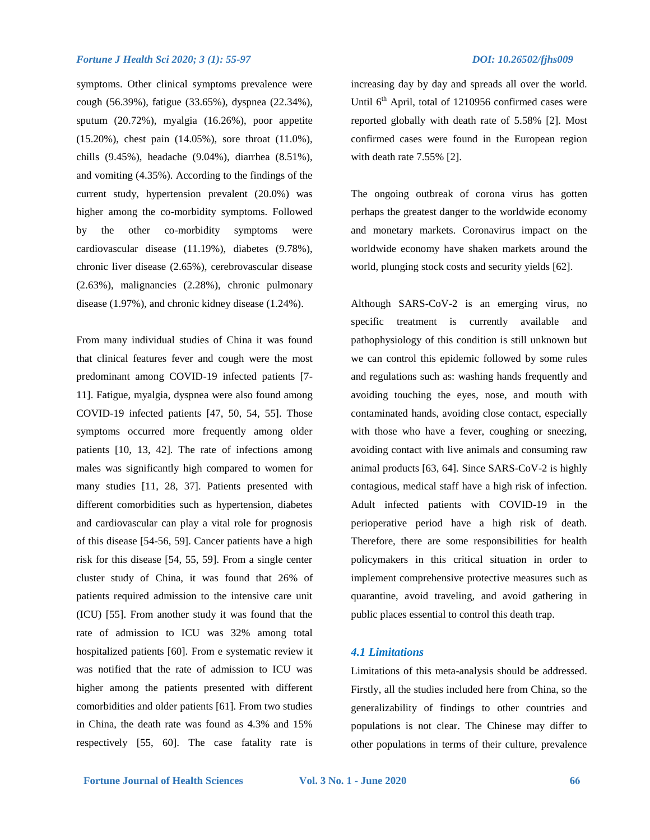symptoms. Other clinical symptoms prevalence were cough (56.39%), fatigue (33.65%), dyspnea (22.34%), sputum (20.72%), myalgia (16.26%), poor appetite (15.20%), chest pain (14.05%), sore throat (11.0%), chills (9.45%), headache (9.04%), diarrhea (8.51%), and vomiting (4.35%). According to the findings of the current study, hypertension prevalent (20.0%) was higher among the co-morbidity symptoms. Followed by the other co-morbidity symptoms were cardiovascular disease (11.19%), diabetes (9.78%), chronic liver disease (2.65%), cerebrovascular disease (2.63%), malignancies (2.28%), chronic pulmonary disease (1.97%), and chronic kidney disease (1.24%).

From many individual studies of China it was found that clinical features fever and cough were the most predominant among COVID-19 infected patients [7- 11]. Fatigue, myalgia, dyspnea were also found among COVID-19 infected patients [47, 50, 54, 55]. Those symptoms occurred more frequently among older patients [10, 13, 42]. The rate of infections among males was significantly high compared to women for many studies [11, 28, 37]. Patients presented with different comorbidities such as hypertension, diabetes and cardiovascular can play a vital role for prognosis of this disease [54-56, 59]. Cancer patients have a high risk for this disease [54, 55, 59]. From a single center cluster study of China, it was found that 26% of patients required admission to the intensive care unit (ICU) [55]. From another study it was found that the rate of admission to ICU was 32% among total hospitalized patients [60]. From e systematic review it was notified that the rate of admission to ICU was higher among the patients presented with different comorbidities and older patients [61]. From two studies in China, the death rate was found as 4.3% and 15% respectively [55, 60]. The case fatality rate is

increasing day by day and spreads all over the world. Until  $6<sup>th</sup>$  April, total of 1210956 confirmed cases were reported globally with death rate of 5.58% [2]. Most confirmed cases were found in the European region with death rate 7.55% [2].

The ongoing outbreak of corona virus has gotten perhaps the greatest danger to the worldwide economy and monetary markets. Coronavirus impact on the worldwide economy have shaken markets around the world, plunging stock costs and security yields [62].

Although SARS-CoV-2 is an emerging virus, no specific treatment is currently available and pathophysiology of this condition is still unknown but we can control this epidemic followed by some rules and regulations such as: washing hands frequently and avoiding touching the eyes, nose, and mouth with contaminated hands, avoiding close contact, especially with those who have a fever, coughing or sneezing, avoiding contact with live animals and consuming raw animal products [63, 64]. Since SARS-CoV-2 is highly contagious, medical staff have a high risk of infection. Adult infected patients with COVID-19 in the perioperative period have a high risk of death. Therefore, there are some responsibilities for health policymakers in this critical situation in order to implement comprehensive protective measures such as quarantine, avoid traveling, and avoid gathering in public places essential to control this death trap.

### *4.1 Limitations*

Limitations of this meta-analysis should be addressed. Firstly, all the studies included here from China, so the generalizability of findings to other countries and populations is not clear. The Chinese may differ to other populations in terms of their culture, prevalence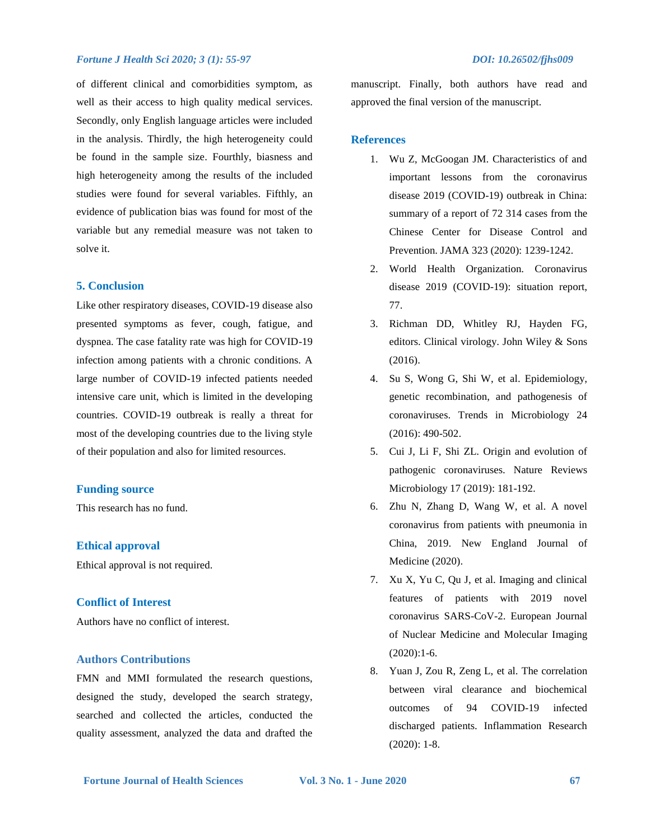of different clinical and comorbidities symptom, as well as their access to high quality medical services. Secondly, only English language articles were included in the analysis. Thirdly, the high heterogeneity could be found in the sample size. Fourthly, biasness and high heterogeneity among the results of the included studies were found for several variables. Fifthly, an evidence of publication bias was found for most of the variable but any remedial measure was not taken to solve it.

### **5. Conclusion**

Like other respiratory diseases, COVID-19 disease also presented symptoms as fever, cough, fatigue, and dyspnea. The case fatality rate was high for COVID-19 infection among patients with a chronic conditions. A large number of COVID-19 infected patients needed intensive care unit, which is limited in the developing countries. COVID-19 outbreak is really a threat for most of the developing countries due to the living style of their population and also for limited resources.

#### **Funding source**

This research has no fund.

#### **Ethical approval**

Ethical approval is not required.

#### **Conflict of Interest**

Authors have no conflict of interest.

#### **Authors Contributions**

FMN and MMI formulated the research questions, designed the study, developed the search strategy, searched and collected the articles, conducted the quality assessment, analyzed the data and drafted the manuscript. Finally, both authors have read and approved the final version of the manuscript.

#### **References**

- 1. Wu Z, McGoogan JM. Characteristics of and important lessons from the coronavirus disease 2019 (COVID-19) outbreak in China: summary of a report of 72 314 cases from the Chinese Center for Disease Control and Prevention. JAMA 323 (2020): 1239-1242.
- 2. World Health Organization. Coronavirus disease 2019 (COVID-19): situation report, 77.
- 3. Richman DD, Whitley RJ, Hayden FG, editors. Clinical virology. John Wiley & Sons (2016).
- 4. Su S, Wong G, Shi W, et al. Epidemiology, genetic recombination, and pathogenesis of coronaviruses. Trends in Microbiology 24 (2016): 490-502.
- 5. Cui J, Li F, Shi ZL. Origin and evolution of pathogenic coronaviruses. Nature Reviews Microbiology 17 (2019): 181-192.
- 6. Zhu N, Zhang D, Wang W, et al. A novel coronavirus from patients with pneumonia in China, 2019. New England Journal of Medicine (2020).
- 7. Xu X, Yu C, Qu J, et al. Imaging and clinical features of patients with 2019 novel coronavirus SARS-CoV-2. European Journal of Nuclear Medicine and Molecular Imaging (2020):1-6.
- 8. Yuan J, Zou R, Zeng L, et al. The correlation between viral clearance and biochemical outcomes of 94 COVID-19 infected discharged patients. Inflammation Research (2020): 1-8.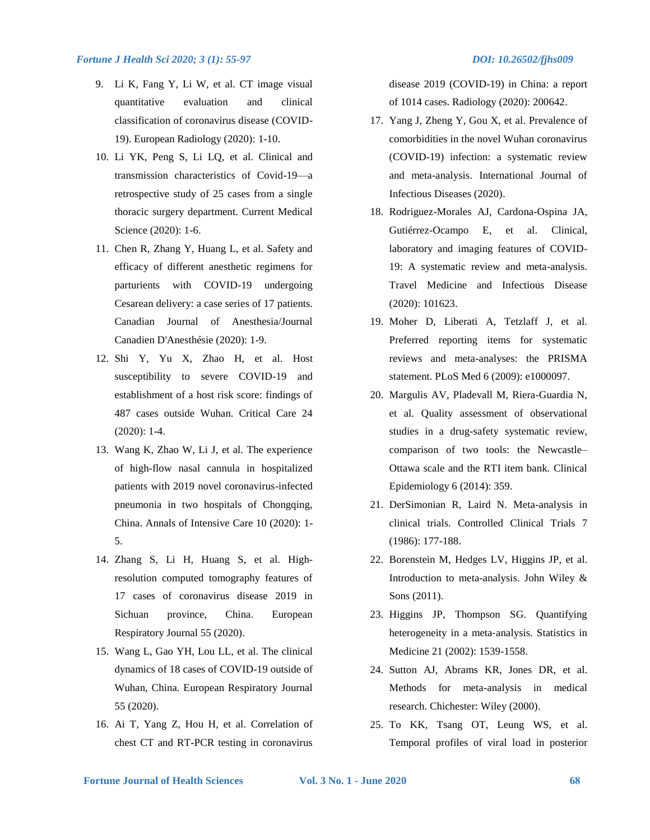- 9. Li K, Fang Y, Li W, et al. CT image visual quantitative evaluation and clinical classification of coronavirus disease (COVID-19). European Radiology (2020): 1-10.
- 10. Li YK, Peng S, Li LQ, et al. Clinical and transmission characteristics of Covid-19—a retrospective study of 25 cases from a single thoracic surgery department. Current Medical Science (2020): 1-6.
- 11. Chen R, Zhang Y, Huang L, et al. Safety and efficacy of different anesthetic regimens for parturients with COVID-19 undergoing Cesarean delivery: a case series of 17 patients. Canadian Journal of Anesthesia/Journal Canadien D'Anesthésie (2020): 1-9.
- 12. Shi Y, Yu X, Zhao H, et al. Host susceptibility to severe COVID-19 and establishment of a host risk score: findings of 487 cases outside Wuhan. Critical Care 24 (2020): 1-4.
- 13. Wang K, Zhao W, Li J, et al. The experience of high-flow nasal cannula in hospitalized patients with 2019 novel coronavirus-infected pneumonia in two hospitals of Chongqing, China. Annals of Intensive Care 10 (2020): 1- 5.
- 14. Zhang S, Li H, Huang S, et al. Highresolution computed tomography features of 17 cases of coronavirus disease 2019 in Sichuan province, China. European Respiratory Journal 55 (2020).
- 15. Wang L, Gao YH, Lou LL, et al. The clinical dynamics of 18 cases of COVID-19 outside of Wuhan, China. European Respiratory Journal 55 (2020).
- 16. Ai T, Yang Z, Hou H, et al. Correlation of chest CT and RT-PCR testing in coronavirus

disease 2019 (COVID-19) in China: a report of 1014 cases. Radiology (2020): 200642.

- 17. Yang J, Zheng Y, Gou X, et al. Prevalence of comorbidities in the novel Wuhan coronavirus (COVID-19) infection: a systematic review and meta-analysis. International Journal of Infectious Diseases (2020).
- 18. Rodriguez-Morales AJ, Cardona-Ospina JA, Gutiérrez-Ocampo E, et al. Clinical, laboratory and imaging features of COVID-19: A systematic review and meta-analysis. Travel Medicine and Infectious Disease (2020): 101623.
- 19. Moher D, Liberati A, Tetzlaff J, et al. Preferred reporting items for systematic reviews and meta-analyses: the PRISMA statement. PLoS Med 6 (2009): e1000097.
- 20. Margulis AV, Pladevall M, Riera-Guardia N, et al. Quality assessment of observational studies in a drug-safety systematic review, comparison of two tools: the Newcastle– Ottawa scale and the RTI item bank. Clinical Epidemiology 6 (2014): 359.
- 21. DerSimonian R, Laird N. Meta-analysis in clinical trials. Controlled Clinical Trials 7 (1986): 177-188.
- 22. Borenstein M, Hedges LV, Higgins JP, et al. Introduction to meta-analysis. John Wiley & Sons (2011).
- 23. Higgins JP, Thompson SG. Quantifying heterogeneity in a meta‐analysis. Statistics in Medicine 21 (2002): 1539-1558.
- 24. Sutton AJ, Abrams KR, Jones DR, et al. Methods for meta-analysis in medical research. Chichester: Wiley (2000).
- 25. To KK, Tsang OT, Leung WS, et al. Temporal profiles of viral load in posterior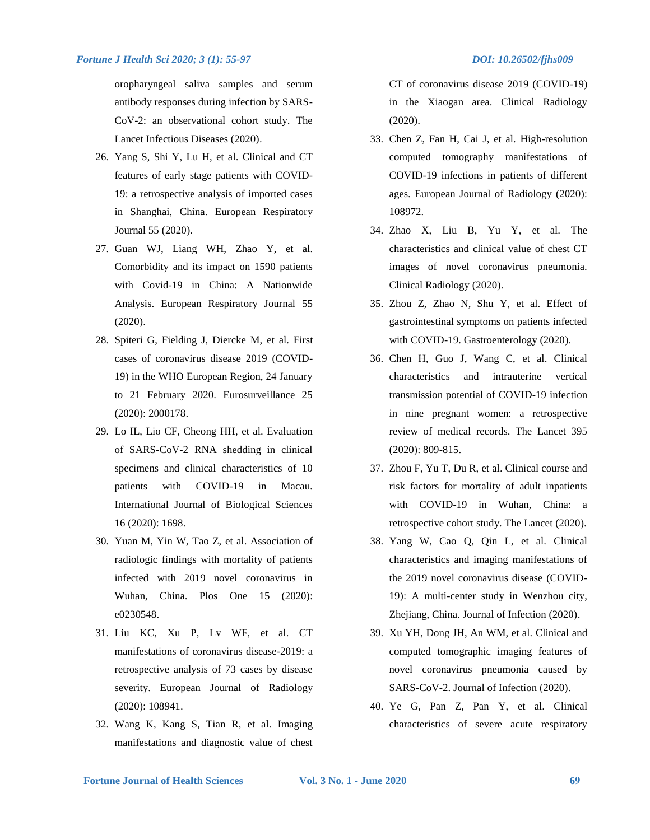oropharyngeal saliva samples and serum antibody responses during infection by SARS-CoV-2: an observational cohort study. The Lancet Infectious Diseases (2020).

- 26. Yang S, Shi Y, Lu H, et al. Clinical and CT features of early stage patients with COVID-19: a retrospective analysis of imported cases in Shanghai, China. European Respiratory Journal 55 (2020).
- 27. Guan WJ, Liang WH, Zhao Y, et al. Comorbidity and its impact on 1590 patients with Covid-19 in China: A Nationwide Analysis. European Respiratory Journal 55 (2020).
- 28. Spiteri G, Fielding J, Diercke M, et al. First cases of coronavirus disease 2019 (COVID-19) in the WHO European Region, 24 January to 21 February 2020. Eurosurveillance 25 (2020): 2000178.
- 29. Lo IL, Lio CF, Cheong HH, et al. Evaluation of SARS-CoV-2 RNA shedding in clinical specimens and clinical characteristics of 10 patients with COVID-19 in Macau. International Journal of Biological Sciences 16 (2020): 1698.
- 30. Yuan M, Yin W, Tao Z, et al. Association of radiologic findings with mortality of patients infected with 2019 novel coronavirus in Wuhan, China. Plos One 15 (2020): e0230548.
- 31. Liu KC, Xu P, Lv WF, et al. CT manifestations of coronavirus disease-2019: a retrospective analysis of 73 cases by disease severity. European Journal of Radiology (2020): 108941.
- 32. Wang K, Kang S, Tian R, et al. Imaging manifestations and diagnostic value of chest

CT of coronavirus disease 2019 (COVID-19) in the Xiaogan area. Clinical Radiology (2020).

- 33. Chen Z, Fan H, Cai J, et al. High-resolution computed tomography manifestations of COVID-19 infections in patients of different ages. European Journal of Radiology (2020): 108972.
- 34. Zhao X, Liu B, Yu Y, et al. The characteristics and clinical value of chest CT images of novel coronavirus pneumonia. Clinical Radiology (2020).
- 35. Zhou Z, Zhao N, Shu Y, et al. Effect of gastrointestinal symptoms on patients infected with COVID-19. Gastroenterology (2020).
- 36. Chen H, Guo J, Wang C, et al. Clinical characteristics and intrauterine vertical transmission potential of COVID-19 infection in nine pregnant women: a retrospective review of medical records. The Lancet 395 (2020): 809-815.
- 37. Zhou F, Yu T, Du R, et al. Clinical course and risk factors for mortality of adult inpatients with COVID-19 in Wuhan, China: a retrospective cohort study. The Lancet (2020).
- 38. Yang W, Cao Q, Qin L, et al. Clinical characteristics and imaging manifestations of the 2019 novel coronavirus disease (COVID-19): A multi-center study in Wenzhou city, Zhejiang, China. Journal of Infection (2020).
- 39. Xu YH, Dong JH, An WM, et al. Clinical and computed tomographic imaging features of novel coronavirus pneumonia caused by SARS-CoV-2. Journal of Infection (2020).
- 40. Ye G, Pan Z, Pan Y, et al. Clinical characteristics of severe acute respiratory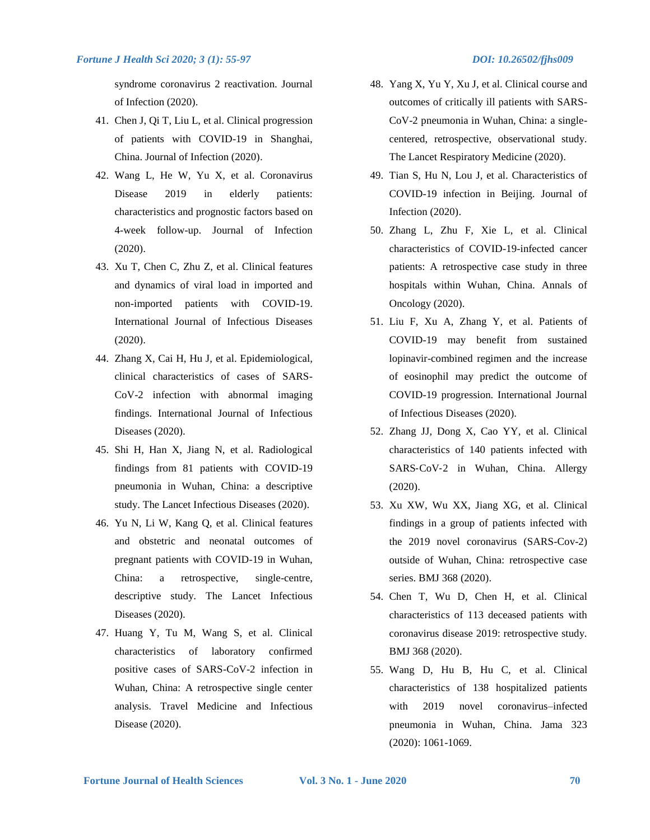syndrome coronavirus 2 reactivation. Journal of Infection (2020).

- 41. Chen J, Qi T, Liu L, et al. Clinical progression of patients with COVID-19 in Shanghai, China. Journal of Infection (2020).
- 42. Wang L, He W, Yu X, et al. Coronavirus Disease 2019 in elderly patients: characteristics and prognostic factors based on 4-week follow-up. Journal of Infection (2020).
- 43. Xu T, Chen C, Zhu Z, et al. Clinical features and dynamics of viral load in imported and non-imported patients with COVID-19. International Journal of Infectious Diseases (2020).
- 44. Zhang X, Cai H, Hu J, et al. Epidemiological, clinical characteristics of cases of SARS-CoV-2 infection with abnormal imaging findings. International Journal of Infectious Diseases (2020).
- 45. Shi H, Han X, Jiang N, et al. Radiological findings from 81 patients with COVID-19 pneumonia in Wuhan, China: a descriptive study. The Lancet Infectious Diseases (2020).
- 46. Yu N, Li W, Kang Q, et al. Clinical features and obstetric and neonatal outcomes of pregnant patients with COVID-19 in Wuhan, China: a retrospective, single-centre, descriptive study. The Lancet Infectious Diseases (2020).
- 47. Huang Y, Tu M, Wang S, et al. Clinical characteristics of laboratory confirmed positive cases of SARS-CoV-2 infection in Wuhan, China: A retrospective single center analysis. Travel Medicine and Infectious Disease (2020).
- 48. Yang X, Yu Y, Xu J, et al. Clinical course and outcomes of critically ill patients with SARS-CoV-2 pneumonia in Wuhan, China: a singlecentered, retrospective, observational study. The Lancet Respiratory Medicine (2020).
- 49. Tian S, Hu N, Lou J, et al. Characteristics of COVID-19 infection in Beijing. Journal of Infection (2020).
- 50. Zhang L, Zhu F, Xie L, et al. Clinical characteristics of COVID-19-infected cancer patients: A retrospective case study in three hospitals within Wuhan, China. Annals of Oncology (2020).
- 51. Liu F, Xu A, Zhang Y, et al. Patients of COVID-19 may benefit from sustained lopinavir-combined regimen and the increase of eosinophil may predict the outcome of COVID-19 progression. International Journal of Infectious Diseases (2020).
- 52. Zhang JJ, Dong X, Cao YY, et al. Clinical characteristics of 140 patients infected with SARS-CoV-2 in Wuhan, China. Allergy (2020).
- 53. Xu XW, Wu XX, Jiang XG, et al. Clinical findings in a group of patients infected with the 2019 novel coronavirus (SARS-Cov-2) outside of Wuhan, China: retrospective case series. BMJ 368 (2020).
- 54. Chen T, Wu D, Chen H, et al. Clinical characteristics of 113 deceased patients with coronavirus disease 2019: retrospective study. BMJ 368 (2020).
- 55. Wang D, Hu B, Hu C, et al. Clinical characteristics of 138 hospitalized patients with 2019 novel coronavirus–infected pneumonia in Wuhan, China. Jama 323 (2020): 1061-1069.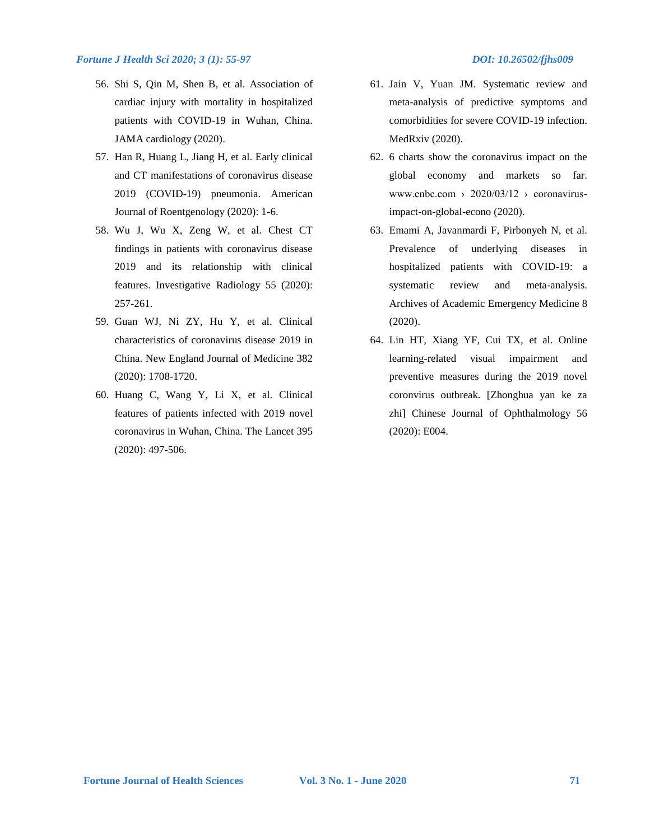- 56. Shi S, Qin M, Shen B, et al. Association of cardiac injury with mortality in hospitalized patients with COVID-19 in Wuhan, China. JAMA cardiology (2020).
- 57. Han R, Huang L, Jiang H, et al. Early clinical and CT manifestations of coronavirus disease 2019 (COVID-19) pneumonia. American Journal of Roentgenology (2020): 1-6.
- 58. Wu J, Wu X, Zeng W, et al. Chest CT findings in patients with coronavirus disease 2019 and its relationship with clinical features. Investigative Radiology 55 (2020): 257-261.
- 59. Guan WJ, Ni ZY, Hu Y, et al. Clinical characteristics of coronavirus disease 2019 in China. New England Journal of Medicine 382 (2020): 1708-1720.
- 60. Huang C, Wang Y, Li X, et al. Clinical features of patients infected with 2019 novel coronavirus in Wuhan, China. The Lancet 395 (2020): 497-506.
- 61. Jain V, Yuan JM. Systematic review and meta-analysis of predictive symptoms and comorbidities for severe COVID-19 infection. MedRxiv (2020).
- 62. 6 charts show the coronavirus impact on the global economy and markets so far. www.cnbc.com >  $2020/03/12$  > coronavirusimpact-on-global-econo (2020).
- 63. Emami A, Javanmardi F, Pirbonyeh N, et al. Prevalence of underlying diseases in hospitalized patients with COVID-19: a systematic review and meta-analysis. Archives of Academic Emergency Medicine 8 (2020).
- 64. Lin HT, Xiang YF, Cui TX, et al. Online learning-related visual impairment and preventive measures during the 2019 novel coronvirus outbreak. [Zhonghua yan ke za zhi] Chinese Journal of Ophthalmology 56 (2020): E004.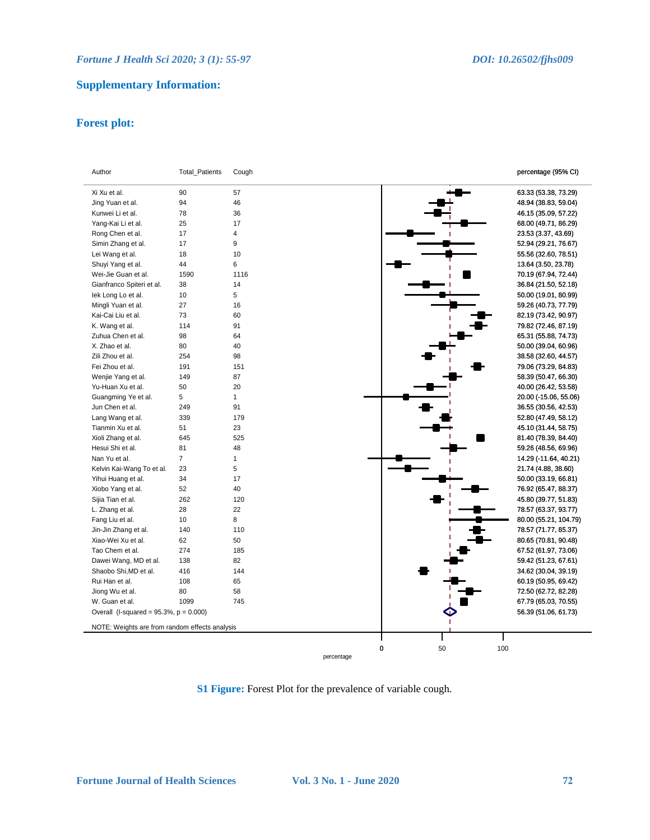## **Supplementary Information:**

## **Forest plot:**

| Author                                         | <b>Total_Patients</b> | Cough     | percentage (95% CI)   |
|------------------------------------------------|-----------------------|-----------|-----------------------|
| Xi Xu et al.                                   | 90                    | 57        | 63.33 (53.38, 73.29)  |
| Jing Yuan et al.                               | 94                    | 46        | 48.94 (38.83, 59.04)  |
| Kunwei Li et al.                               | 78                    | 36        | 46.15 (35.09, 57.22)  |
| Yang-Kai Li et al.                             | 25                    | 17        | 68.00 (49.71, 86.29)  |
| Rong Chen et al.                               | 17                    | 4         | 23.53 (3.37, 43.69)   |
| Simin Zhang et al.                             | 17                    | 9         | 52.94 (29.21, 76.67)  |
| Lei Wang et al.                                | 18                    | 10        | 55.56 (32.60, 78.51)  |
| Shuyi Yang et al.                              | 44                    | 6         | 13.64 (3.50, 23.78)   |
| Wei-Jie Guan et al.                            | 1590                  | 1116      | 70.19 (67.94, 72.44)  |
| Gianfranco Spiteri et al.                      | 38                    | 14        | 36.84 (21.50, 52.18)  |
| lek Long Lo et al.                             | 10                    | 5         | 50.00 (19.01, 80.99)  |
| Mingli Yuan et al.                             | 27                    | 16        | 59.26 (40.73, 77.79)  |
| Kai-Cai Liu et al.                             | 73                    | 60        | 82.19 (73.42, 90.97)  |
| K. Wang et al.                                 | 114                   | 91        | 79.82 (72.46, 87.19)  |
| Zuhua Chen et al.                              | 98                    | 64        | 65.31 (55.88, 74.73)  |
| X. Zhao et al.                                 | 80                    | 40        | 50.00 (39.04, 60.96)  |
| Zili Zhou et al.                               | 254                   | 98        | 38.58 (32.60, 44.57)  |
| Fei Zhou et al.                                | 191                   | 151       | 79.06 (73.29, 84.83)  |
| Wenjie Yang et al.                             | 149                   | 87        | 58.39 (50.47, 66.30)  |
| Yu-Huan Xu et al.                              | 50                    | 20        | 40.00 (26.42, 53.58)  |
| Guangming Ye et al.                            | 5                     | 1         | 20.00 (-15.06, 55.06) |
| Jun Chen et al.                                | 249                   | 91        | 36.55 (30.56, 42.53)  |
| Lang Wang et al.                               | 339                   | 179       | 52.80 (47.49, 58.12)  |
| Tianmin Xu et al.                              | 51                    | 23        | 45.10 (31.44, 58.75)  |
| Xioli Zhang et al.                             | 645                   | 525       | 81.40 (78.39, 84.40)  |
| Hesui Shi et al.                               | 81                    | 48        | 59.26 (48.56, 69.96)  |
| Nan Yu et al.                                  | $\overline{7}$        | 1         | 14.29 (-11.64, 40.21) |
| Kelvin Kai-Wang To et al.                      | 23                    | 5         |                       |
| Yihui Huang et al.                             | 34                    | 17        | 21.74 (4.88, 38.60)   |
| Xiobo Yang et al.                              | 52                    | 40        | 50.00 (33.19, 66.81)  |
|                                                |                       |           | 76.92 (65.47, 88.37)  |
| Sijia Tian et al.                              | 262<br>28             | 120<br>22 | 45.80 (39.77, 51.83)  |
| L. Zhang et al.                                |                       |           | 78.57 (63.37, 93.77)  |
| Fang Liu et al.                                | 10                    | 8         | 80.00 (55.21, 104.79) |
| Jin-Jin Zhang et al.                           | 140                   | 110       | 78.57 (71.77, 85.37)  |
| Xiao-Wei Xu et al.                             | 62                    | 50        | 80.65 (70.81, 90.48)  |
| Tao Chem et al.                                | 274                   | 185       | 67.52 (61.97, 73.06)  |
| Dawei Wang, MD et al.                          | 138                   | 82        | 59.42 (51.23, 67.61)  |
| Shaobo Shi, MD et al.                          | 416                   | 144       | 34.62 (30.04, 39.19)  |
| Rui Han et al.                                 | 108                   | 65        | 60.19 (50.95, 69.42)  |
| Jiong Wu et al.                                | 80                    | 58        | 72.50 (62.72, 82.28)  |
| W. Guan et al.                                 | 1099                  | 745       | 67.79 (65.03, 70.55)  |
| Overall (I-squared = $95.3\%$ , $p = 0.000$ )  |                       |           | 56.39 (51.06, 61.73)  |
| NOTE: Weights are from random effects analysis |                       |           |                       |
|                                                |                       | 0         | 100<br>50             |

**S1 Figure:** Forest Plot for the prevalence of variable cough.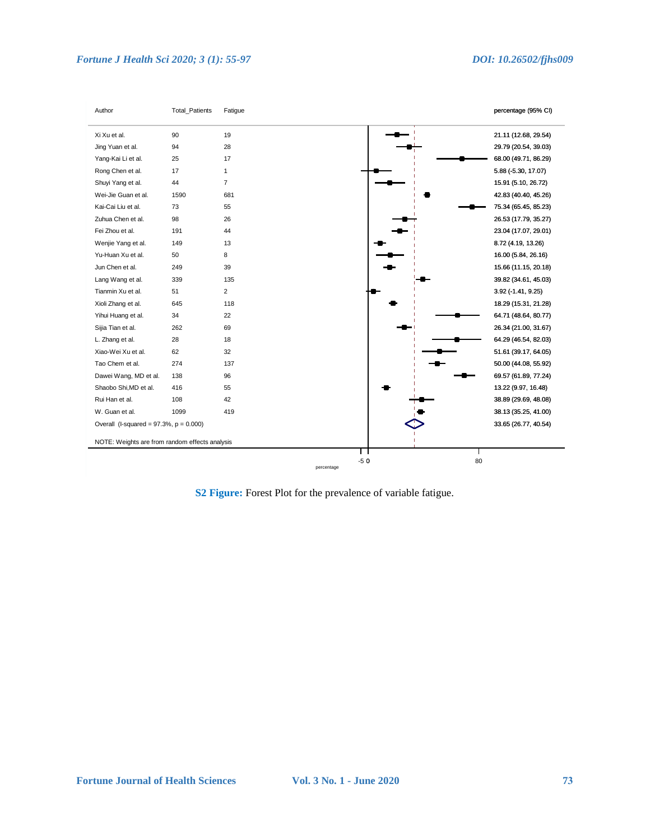

**S2 Figure:** Forest Plot for the prevalence of variable fatigue.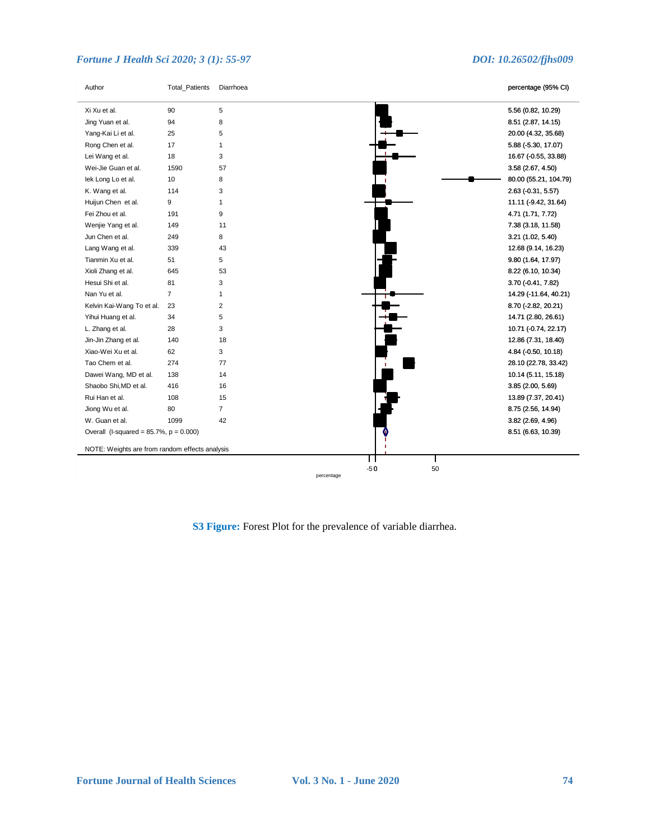| Author                                         | Total_Patients | Diarrhoea      |                     |    | percentage (95% CI)   |
|------------------------------------------------|----------------|----------------|---------------------|----|-----------------------|
| Xi Xu et al.                                   | 90             | 5              |                     |    | 5.56 (0.82, 10.29)    |
| Jing Yuan et al.                               | 94             | 8              |                     |    | 8.51 (2.87, 14.15)    |
| Yang-Kai Li et al.                             | 25             | 5              |                     |    | 20.00 (4.32, 35.68)   |
| Rong Chen et al.                               | 17             | 1              |                     |    | 5.88 (-5.30, 17.07)   |
| Lei Wang et al.                                | 18             | 3              |                     |    | 16.67 (-0.55, 33.88)  |
| Wei-Jie Guan et al.                            | 1590           | 57             |                     |    | 3.58 (2.67, 4.50)     |
| lek Long Lo et al.                             | 10             | 8              |                     |    | 80.00 (55.21, 104.79) |
| K. Wang et al.                                 | 114            | 3              |                     |    | 2.63 (-0.31, 5.57)    |
| Huijun Chen et al.                             | 9              | $\mathbf{1}$   |                     |    | 11.11 (-9.42, 31.64)  |
| Fei Zhou et al.                                | 191            | 9              |                     |    | 4.71 (1.71, 7.72)     |
| Wenjie Yang et al.                             | 149            | 11             |                     |    | 7.38 (3.18, 11.58)    |
| Jun Chen et al.                                | 249            | 8              |                     |    | 3.21 (1.02, 5.40)     |
| Lang Wang et al.                               | 339            | 43             |                     |    | 12.68 (9.14, 16.23)   |
| Tianmin Xu et al.                              | 51             | 5              |                     |    | 9.80 (1.64, 17.97)    |
| Xioli Zhang et al.                             | 645            | 53             |                     |    | 8.22 (6.10, 10.34)    |
| Hesui Shi et al.                               | 81             | 3              |                     |    | 3.70 (-0.41, 7.82)    |
| Nan Yu et al.                                  | $\overline{7}$ | $\mathbf{1}$   |                     |    | 14.29 (-11.64, 40.21) |
| Kelvin Kai-Wang To et al.                      | 23             | $\overline{2}$ |                     |    | 8.70 (-2.82, 20.21)   |
| Yihui Huang et al.                             | 34             | 5              |                     |    | 14.71 (2.80, 26.61)   |
| L. Zhang et al.                                | 28             | 3              |                     |    | 10.71 (-0.74, 22.17)  |
| Jin-Jin Zhang et al.                           | 140            | 18             |                     |    | 12.86 (7.31, 18.40)   |
| Xiao-Wei Xu et al.                             | 62             | 3              |                     |    | 4.84 (-0.50, 10.18)   |
| Tao Chem et al.                                | 274            | 77             |                     |    | 28.10 (22.78, 33.42)  |
| Dawei Wang, MD et al.                          | 138            | 14             |                     |    | 10.14 (5.11, 15.18)   |
| Shaobo Shi, MD et al.                          | 416            | 16             |                     |    | 3.85 (2.00, 5.69)     |
| Rui Han et al.                                 | 108            | 15             |                     |    | 13.89 (7.37, 20.41)   |
| Jiong Wu et al.                                | 80             | $\overline{7}$ |                     |    | 8.75 (2.56, 14.94)    |
| W. Guan et al.                                 | 1099           | 42             |                     |    | 3.82 (2.69, 4.96)     |
| Overall (I-squared = $85.7\%$ , $p = 0.000$ )  |                |                |                     |    | 8.51 (6.63, 10.39)    |
| NOTE: Weights are from random effects analysis |                |                |                     |    |                       |
|                                                |                |                |                     |    |                       |
|                                                |                |                | $-50$<br>percentage | 50 |                       |

**S3 Figure:** Forest Plot for the prevalence of variable diarrhea.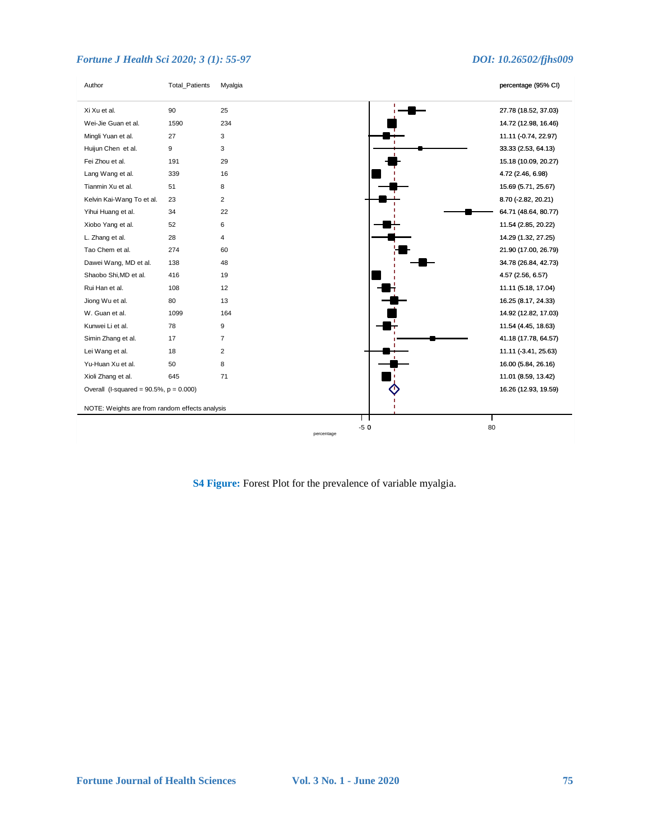| Author                                         | Total_Patients | Myalgia             |    | percentage (95% CI)  |
|------------------------------------------------|----------------|---------------------|----|----------------------|
| Xi Xu et al.                                   | 90             | 25                  |    | 27.78 (18.52, 37.03) |
| Wei-Jie Guan et al.                            | 1590           | 234                 |    | 14.72 (12.98, 16.46) |
| Mingli Yuan et al.                             | 27             | 3                   |    | 11.11 (-0.74, 22.97) |
| Huijun Chen et al.                             | 9              | 3                   |    | 33.33 (2.53, 64.13)  |
| Fei Zhou et al.                                | 191            | 29                  |    | 15.18 (10.09, 20.27) |
| Lang Wang et al.                               | 339            | 16                  |    | 4.72 (2.46, 6.98)    |
| Tianmin Xu et al.                              | 51             | 8                   |    | 15.69 (5.71, 25.67)  |
| Kelvin Kai-Wang To et al.                      | 23             | $\overline{2}$      |    | 8.70 (-2.82, 20.21)  |
| Yihui Huang et al.                             | 34             | 22                  |    | 64.71 (48.64, 80.77) |
| Xiobo Yang et al.                              | 52             | 6                   |    | 11.54 (2.85, 20.22)  |
| L. Zhang et al.                                | 28             | 4                   |    | 14.29 (1.32, 27.25)  |
| Tao Chem et al.                                | 274            | 60                  |    | 21.90 (17.00, 26.79) |
| Dawei Wang, MD et al.                          | 138            | 48                  |    | 34.78 (26.84, 42.73) |
| Shaobo Shi, MD et al.                          | 416            | 19                  |    | 4.57 (2.56, 6.57)    |
| Rui Han et al.                                 | 108            | 12                  |    | 11.11 (5.18, 17.04)  |
| Jiong Wu et al.                                | 80             | 13                  |    | 16.25 (8.17, 24.33)  |
| W. Guan et al.                                 | 1099           | 164                 |    | 14.92 (12.82, 17.03) |
| Kunwei Li et al.                               | 78             | 9                   |    | 11.54 (4.45, 18.63)  |
| Simin Zhang et al.                             | 17             | $\overline{7}$      |    | 41.18 (17.78, 64.57) |
| Lei Wang et al.                                | 18             | $\overline{2}$      |    | 11.11 (-3.41, 25.63) |
| Yu-Huan Xu et al.                              | 50             | 8                   |    | 16.00 (5.84, 26.16)  |
| Xioli Zhang et al.                             | 645            | 71                  |    | 11.01 (8.59, 13.42)  |
| Overall (I-squared = $90.5\%$ , $p = 0.000$ )  |                |                     |    | 16.26 (12.93, 19.59) |
| NOTE: Weights are from random effects analysis |                |                     |    |                      |
|                                                |                | $-50$<br>percentage | 80 |                      |

**S4 Figure:** Forest Plot for the prevalence of variable myalgia.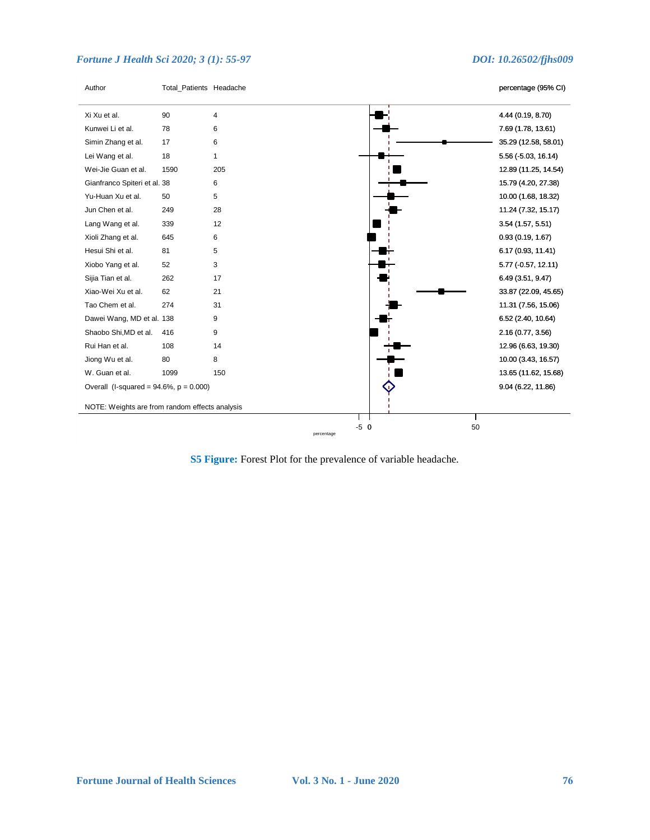

**S5 Figure:** Forest Plot for the prevalence of variable headache.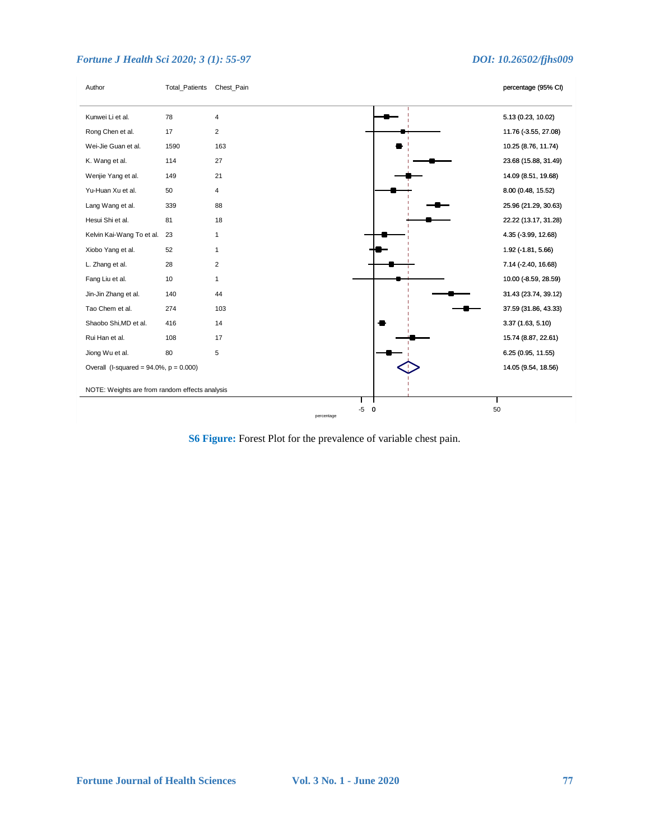

**S6 Figure:** Forest Plot for the prevalence of variable chest pain.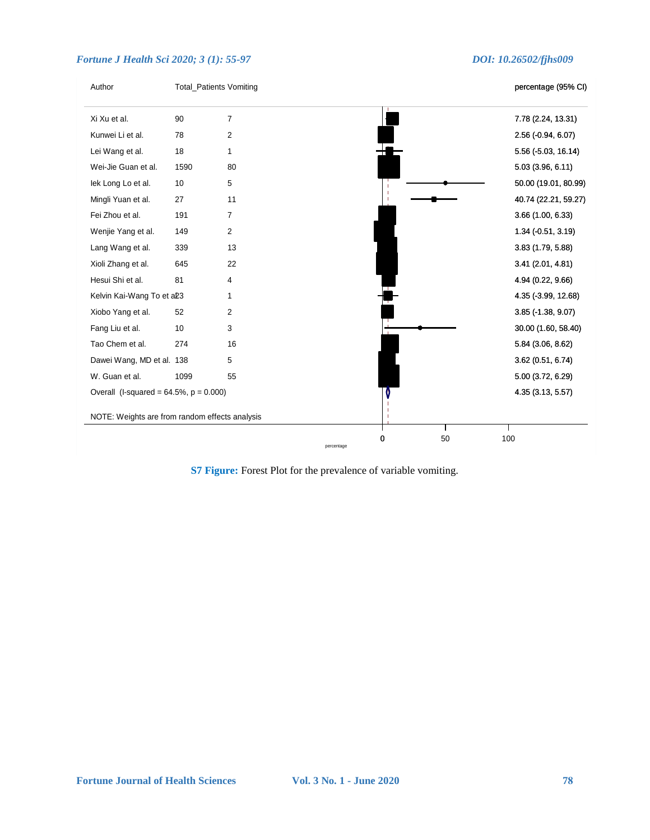| Author                                         |      | <b>Total_Patients Vomiting</b> |         | percentage (95% CI)  |
|------------------------------------------------|------|--------------------------------|---------|----------------------|
| Xi Xu et al.                                   | 90   | $\overline{7}$                 |         | 7.78 (2.24, 13.31)   |
| Kunwei Li et al.                               | 78   | 2                              |         | 2.56 (-0.94, 6.07)   |
| Lei Wang et al.                                | 18   | 1                              |         | 5.56 (-5.03, 16.14)  |
| Wei-Jie Guan et al.                            | 1590 | 80                             |         | 5.03(3.96, 6.11)     |
| lek Long Lo et al.                             | 10   | 5                              |         | 50.00 (19.01, 80.99) |
| Mingli Yuan et al.                             | 27   | 11                             |         | 40.74 (22.21, 59.27) |
| Fei Zhou et al.                                | 191  | $\overline{7}$                 |         | 3.66 (1.00, 6.33)    |
| Wenjie Yang et al.                             | 149  | $\overline{2}$                 |         | 1.34 (-0.51, 3.19)   |
| Lang Wang et al.                               | 339  | 13                             |         | 3.83(1.79, 5.88)     |
| Xioli Zhang et al.                             | 645  | 22                             |         | 3.41 (2.01, 4.81)    |
| Hesui Shi et al.                               | 81   | 4                              |         | 4.94 (0.22, 9.66)    |
| Kelvin Kai-Wang To et a23                      |      | 1                              |         | 4.35 (-3.99, 12.68)  |
| Xiobo Yang et al.                              | 52   | $\overline{2}$                 |         | 3.85 (-1.38, 9.07)   |
| Fang Liu et al.                                | 10   | 3                              |         | 30.00 (1.60, 58.40)  |
| Tao Chem et al.                                | 274  | 16                             |         | 5.84 (3.06, 8.62)    |
| Dawei Wang, MD et al. 138                      |      | 5                              |         | 3.62 (0.51, 6.74)    |
| W. Guan et al.                                 | 1099 | 55                             |         | 5.00 (3.72, 6.29)    |
| Overall (I-squared = $64.5\%$ , $p = 0.000$ )  |      |                                |         | 4.35 (3.13, 5.57)    |
|                                                |      |                                |         |                      |
| NOTE: Weights are from random effects analysis |      |                                |         |                      |
|                                                |      |                                | 50<br>0 | 100                  |

**S7 Figure:** Forest Plot for the prevalence of variable vomiting.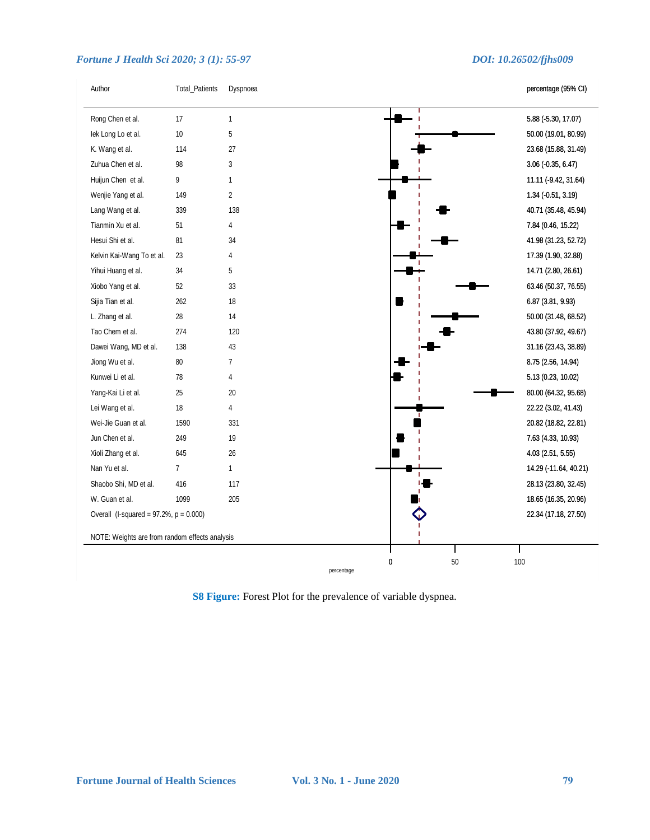| Author                                         | Total_Patients | Dyspnoea       |         | percentage (95% CI)   |
|------------------------------------------------|----------------|----------------|---------|-----------------------|
| Rong Chen et al.                               | 17             | $\mathbf{1}$   |         | 5.88 (-5.30, 17.07)   |
| lek Long Lo et al.                             | 10             | 5              |         | 50.00 (19.01, 80.99)  |
| K. Wang et al.                                 | 114            | 27             |         | 23.68 (15.88, 31.49)  |
| Zuhua Chen et al.                              | 98             | 3              |         | $3.06$ (-0.35, 6.47)  |
| Huijun Chen et al.                             | 9              | 1              |         | 11.11 (-9.42, 31.64)  |
| Wenjie Yang et al.                             | 149            | $\overline{2}$ |         | 1.34 (-0.51, 3.19)    |
| Lang Wang et al.                               | 339            | 138            |         | 40.71 (35.48, 45.94)  |
| Tianmin Xu et al.                              | 51             | 4              |         | 7.84 (0.46, 15.22)    |
| Hesui Shi et al.                               | 81             | 34             |         | 41.98 (31.23, 52.72)  |
| Kelvin Kai-Wang To et al.                      | 23             | 4              |         | 17.39 (1.90, 32.88)   |
| Yihui Huang et al.                             | 34             | 5              |         | 14.71 (2.80, 26.61)   |
| Xiobo Yang et al.                              | 52             | 33             |         | 63.46 (50.37, 76.55)  |
| Sijia Tian et al.                              | 262            | 18             |         | 6.87 (3.81, 9.93)     |
| L. Zhang et al.                                | 28             | 14             |         | 50.00 (31.48, 68.52)  |
| Tao Chem et al.                                | 274            | 120            |         | 43.80 (37.92, 49.67)  |
| Dawei Wang, MD et al.                          | 138            | 43             |         | 31.16 (23.43, 38.89)  |
| Jiong Wu et al.                                | 80             | $\overline{7}$ |         | 8.75 (2.56, 14.94)    |
| Kunwei Li et al.                               | 78             | $\overline{4}$ |         | 5.13 (0.23, 10.02)    |
| Yang-Kai Li et al.                             | 25             | 20             |         | 80.00 (64.32, 95.68)  |
| Lei Wang et al.                                | 18             | $\overline{4}$ |         | 22.22 (3.02, 41.43)   |
| Wei-Jie Guan et al.                            | 1590           | 331            |         | 20.82 (18.82, 22.81)  |
| Jun Chen et al.                                | 249            | 19             |         | 7.63 (4.33, 10.93)    |
| Xioli Zhang et al.                             | 645            | 26             |         | 4.03 (2.51, 5.55)     |
| Nan Yu et al.                                  | $\overline{7}$ | $\mathbf{1}$   |         | 14.29 (-11.64, 40.21) |
| Shaobo Shi, MD et al.                          | 416            | 117            |         | 28.13 (23.80, 32.45)  |
| W. Guan et al.                                 | 1099           | 205            |         | 18.65 (16.35, 20.96)  |
| Overall (I-squared = $97.2\%$ , $p = 0.000$ )  |                |                |         | 22.34 (17.18, 27.50)  |
| NOTE: Weights are from random effects analysis |                |                |         |                       |
|                                                |                |                |         |                       |
|                                                |                | percentage     | 0<br>50 | 100                   |

## **S8 Figure:** Forest Plot for the prevalence of variable dyspnea.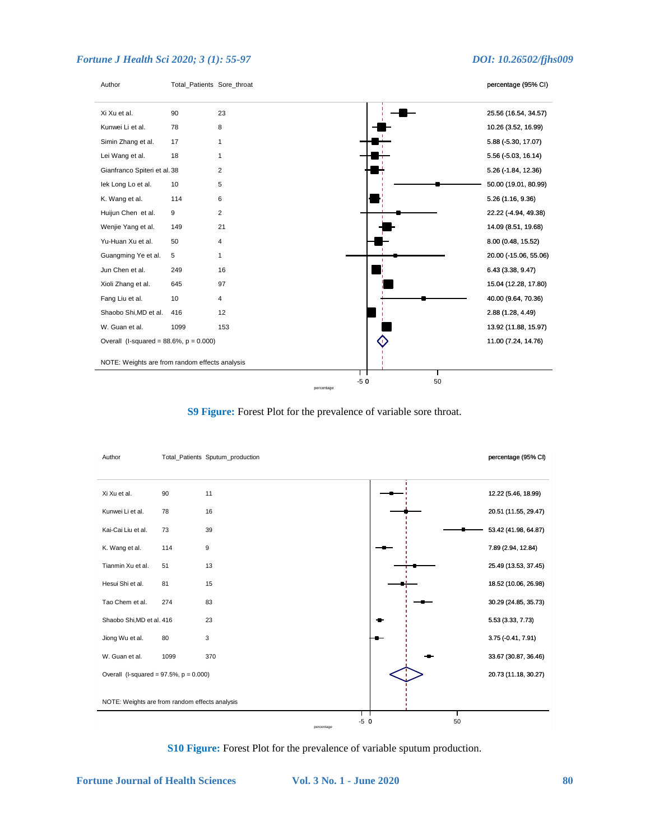

**S9 Figure:** Forest Plot for the prevalence of variable sore throat.



**S10 Figure:** Forest Plot for the prevalence of variable sputum production.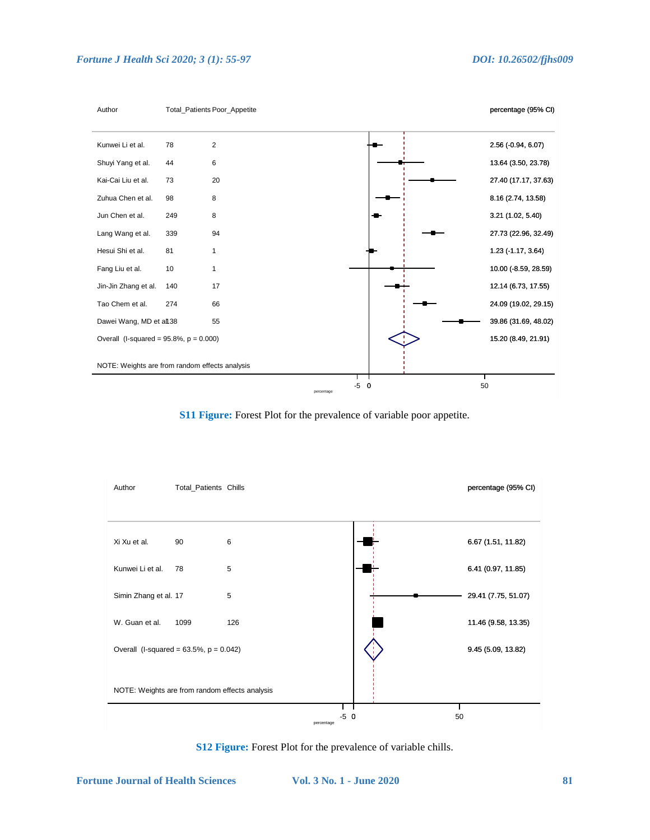

**S11 Figure:** Forest Plot for the prevalence of variable poor appetite.



**S12 Figure:** Forest Plot for the prevalence of variable chills.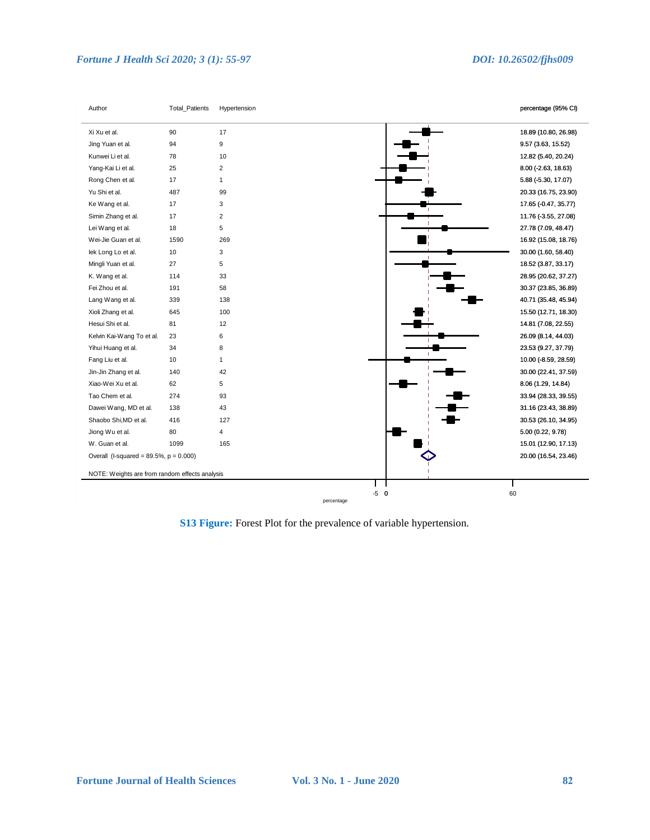| Author                                         | Total_Patients | Hypertension   | percentage (95% CI)   |
|------------------------------------------------|----------------|----------------|-----------------------|
| Xi Xu et al.                                   | 90             | 17             | 18.89 (10.80, 26.98)  |
| Jing Yuan et al.                               | 94             | 9              | 9.57 (3.63, 15.52)    |
| Kunwei Li et al.                               | 78             | 10             | 12.82 (5.40, 20.24)   |
| Yang-Kai Li et al.                             | 25             | $\overline{2}$ | $8.00$ (-2.63, 18.63) |
| Rong Chen et al.                               | 17             | $\mathbf{1}$   | 5.88 (-5.30, 17.07)   |
| Yu Shi et al.                                  | 487            | 99             | 20.33 (16.75, 23.90)  |
| Ke Wang et al.                                 | 17             | 3              | 17.65 (-0.47, 35.77)  |
| Simin Zhang et al.                             | 17             | $\overline{2}$ | 11.76 (-3.55, 27.08)  |
| Lei Wang et al.                                | 18             | 5              | 27.78 (7.09, 48.47)   |
| Wei-Jie Guan et al.                            | 1590           | 269            | 16.92 (15.08, 18.76)  |
| lek Long Lo et al.                             | 10             | 3              | 30.00 (1.60, 58.40)   |
| Mingli Yuan et al.                             | 27             | 5              | 18.52 (3.87, 33.17)   |
| K. Wang et al.                                 | 114            | 33             | 28.95 (20.62, 37.27)  |
| Fei Zhou et al.                                | 191            | 58             | 30.37 (23.85, 36.89)  |
| Lang Wang et al.                               | 339            | 138            | 40.71 (35.48, 45.94)  |
| Xioli Zhang et al.                             | 645            | 100            | 15.50 (12.71, 18.30)  |
| Hesui Shi et al.                               | 81             | 12             | 14.81 (7.08, 22.55)   |
| Kelvin Kai-Wang To et al.                      | 23             | 6              | 26.09 (8.14, 44.03)   |
| Yihui Huang et al.                             | 34             | 8              | 23.53 (9.27, 37.79)   |
| Fang Liu et al.                                | 10             | $\mathbf{1}$   | 10.00 (-8.59, 28.59)  |
| Jin-Jin Zhang et al.                           | 140            | 42             | 30.00 (22.41, 37.59)  |
| Xiao-Wei Xu et al.                             | 62             | 5              | 8.06 (1.29, 14.84)    |
| Tao Chem et al.                                | 274            | 93             | 33.94 (28.33, 39.55)  |
| Dawei Wang, MD et al.                          | 138            | 43             | 31.16 (23.43, 38.89)  |
| Shaobo Shi, MD et al.                          | 416            | 127            | 30.53 (26.10, 34.95)  |
| Jiong Wu et al.                                | 80             | $\overline{4}$ | 5.00 (0.22, 9.78)     |
| W. Guan et al.                                 | 1099           | 165            | 15.01 (12.90, 17.13)  |
| Overall (I-squared = $89.5\%$ , $p = 0.000$ )  |                |                | 20.00 (16.54, 23.46)  |
| NOTE: Weights are from random effects analysis |                |                |                       |
|                                                |                | $-5$ 0         |                       |

**S13 Figure:** Forest Plot for the prevalence of variable hypertension.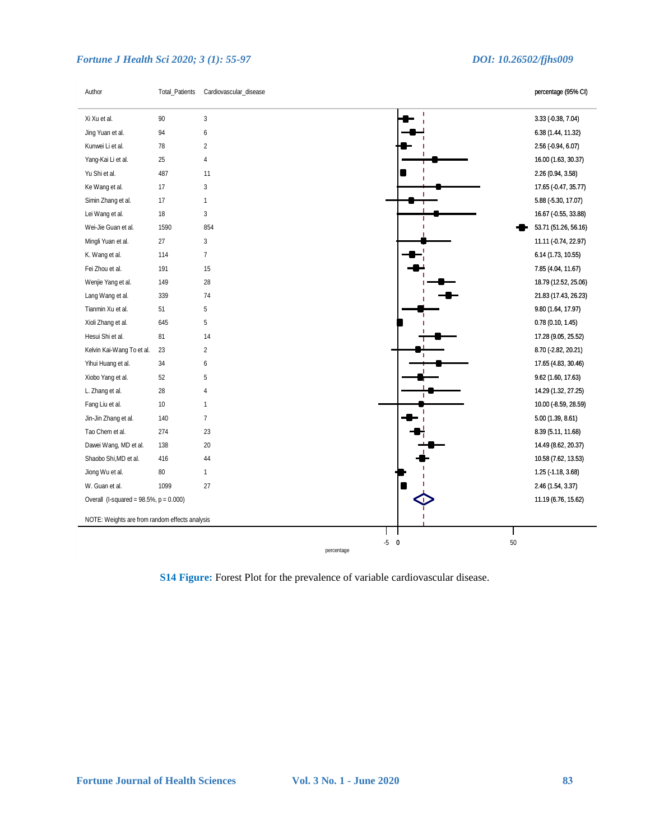Total\_Patients Cardiovascular\_disease

Author

percentage (95% CI)

| Xi Xu et al.<br>Jing Yuan et al.<br>Kunwei Li et al.<br>Yang-Kai Li et al.<br>Yu Shi et al.<br>Ke Wang et al.<br>Simin Zhang et al. | $\sqrt{3}$<br>90<br>94<br>6<br>$\overline{2}$<br>78<br>25<br>4<br>487<br>11<br>17<br>3<br>17<br>$\mathbf{1}$<br>18<br>$\mathbf{3}$<br>1590<br>854<br>3 |                      | 3.33 (0.38, 7.04)<br>6.38 (1.44, 11.32)<br>2.56 (-0.94, 6.07)<br>16.00 (1.63, 30.37)<br>2.26 (0.94, 3.58)<br>17.65 (-0.47, 35.77)<br>5.88 (-5.30, 17.07)<br>16.67 (0.55, 33.88) |
|-------------------------------------------------------------------------------------------------------------------------------------|--------------------------------------------------------------------------------------------------------------------------------------------------------|----------------------|---------------------------------------------------------------------------------------------------------------------------------------------------------------------------------|
|                                                                                                                                     |                                                                                                                                                        |                      |                                                                                                                                                                                 |
|                                                                                                                                     |                                                                                                                                                        |                      |                                                                                                                                                                                 |
|                                                                                                                                     |                                                                                                                                                        |                      |                                                                                                                                                                                 |
|                                                                                                                                     |                                                                                                                                                        |                      |                                                                                                                                                                                 |
|                                                                                                                                     |                                                                                                                                                        |                      |                                                                                                                                                                                 |
|                                                                                                                                     |                                                                                                                                                        |                      |                                                                                                                                                                                 |
|                                                                                                                                     |                                                                                                                                                        |                      |                                                                                                                                                                                 |
| Lei Wang et al.                                                                                                                     |                                                                                                                                                        |                      |                                                                                                                                                                                 |
| Wei-Jie Guan et al.                                                                                                                 |                                                                                                                                                        |                      | 53.71 (51.26, 56.16)                                                                                                                                                            |
| Mingli Yuan et al.<br>27                                                                                                            |                                                                                                                                                        |                      | 11.11 ( 0.74, 22.97)                                                                                                                                                            |
| K. Wang et al.                                                                                                                      | $\overline{7}$<br>114                                                                                                                                  |                      | 6.14 (1.73, 10.55)                                                                                                                                                              |
| Fei Zhou et al.                                                                                                                     | 191<br>15                                                                                                                                              |                      | 7.85 (4.04, 11.67)                                                                                                                                                              |
| Wenjie Yang et al.                                                                                                                  | 28<br>149                                                                                                                                              |                      | 18.79 (12.52, 25.06)                                                                                                                                                            |
| Lang Wang et al.                                                                                                                    | 74<br>339                                                                                                                                              |                      | 21.83 (17.43, 26.23)                                                                                                                                                            |
| Tianmin Xu et al.                                                                                                                   | 51<br>5                                                                                                                                                |                      | 9.80 (1.64, 17.97)                                                                                                                                                              |
| Xioli Zhang et al.                                                                                                                  | 5<br>645                                                                                                                                               |                      | 0.78(0.10, 1.45)                                                                                                                                                                |
| Hesui Shi et al.                                                                                                                    | 81<br>14                                                                                                                                               |                      | 17.28 (9.05, 25.52)                                                                                                                                                             |
| Kelvin Kai-Wang To et al.                                                                                                           | $\overline{2}$<br>23                                                                                                                                   |                      | 8.70 (-2.82, 20.21)                                                                                                                                                             |
| Yihui Huang et al.                                                                                                                  | 34<br>6                                                                                                                                                |                      | 17.65 (4.83, 30.46)                                                                                                                                                             |
| Xiobo Yang et al.                                                                                                                   | 52<br>5                                                                                                                                                |                      | 9.62 (1.60, 17.63)                                                                                                                                                              |
| L. Zhang et al.                                                                                                                     | 28<br>4                                                                                                                                                |                      | 14.29 (1.32, 27.25)                                                                                                                                                             |
| Fang Liu et al.                                                                                                                     | 10<br>$\mathbf{1}$                                                                                                                                     |                      | 10.00 (-8.59, 28.59)                                                                                                                                                            |
| Jin-Jin Zhang et al.                                                                                                                | $\overline{7}$<br>140                                                                                                                                  |                      | 5.00(1.39, 8.61)                                                                                                                                                                |
| Tao Chem et al.                                                                                                                     | 274<br>23                                                                                                                                              |                      | 8.39 (5.11, 11.68)                                                                                                                                                              |
| Dawei Wang, MD et al.                                                                                                               | 138<br>20                                                                                                                                              |                      | 14.49 (8.62, 20.37)                                                                                                                                                             |
| Shaobo Shi, MD et al.                                                                                                               | 416<br>44                                                                                                                                              |                      | 10.58 (7.62, 13.53)                                                                                                                                                             |
| Jiong Wu et al.                                                                                                                     | 80<br>$\mathbf{1}$                                                                                                                                     |                      | 1.25 (-1.18, 3.68)                                                                                                                                                              |
| W. Guan et al.                                                                                                                      | 1099<br>27                                                                                                                                             |                      | 2.46 (1.54, 3.37)                                                                                                                                                               |
| Overall (I-squared = $98.5\%$ , $p = 0.000$ )                                                                                       |                                                                                                                                                        |                      | 11.19 (6.76, 15.62)                                                                                                                                                             |
| NOTE: Weights are from random effects analysis                                                                                      |                                                                                                                                                        |                      |                                                                                                                                                                                 |
|                                                                                                                                     |                                                                                                                                                        |                      |                                                                                                                                                                                 |
|                                                                                                                                     |                                                                                                                                                        | $-5$ 0<br>percentage | 50                                                                                                                                                                              |

**S14 Figure:** Forest Plot for the prevalence of variable cardiovascular disease.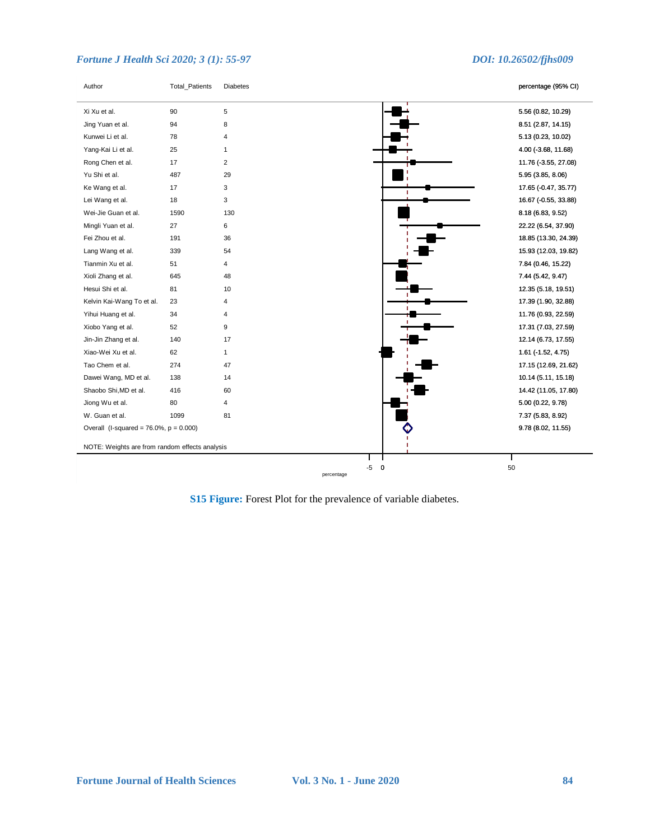| Author                                         | <b>Total_Patients</b> | <b>Diabetes</b>   | percentage (95% CI)       |
|------------------------------------------------|-----------------------|-------------------|---------------------------|
| Xi Xu et al.                                   | 90                    | 5                 | 5.56 (0.82, 10.29)        |
| Jing Yuan et al.                               | 94                    | 8                 | 8.51 (2.87, 14.15)        |
| Kunwei Li et al.                               | 78                    | 4                 | 5.13 (0.23, 10.02)        |
| Yang-Kai Li et al.                             | 25                    | 1                 | 4.00 (-3.68, 11.68)       |
| Rong Chen et al.                               | 17                    | $\overline{2}$    | 11.76 (-3.55, 27.08)      |
| Yu Shi et al.                                  | 487                   | 29                | 5.95 (3.85, 8.06)         |
| Ke Wang et al.                                 | 17                    | 3                 | 17.65 (-0.47, 35.77)<br>п |
| Lei Wang et al.                                | 18                    | 3                 | 16.67 (-0.55, 33.88)      |
| Wei-Jie Guan et al.                            | 1590                  | 130               | 8.18 (6.83, 9.52)         |
| Mingli Yuan et al.                             | 27                    | 6                 | 22.22 (6.54, 37.90)       |
| Fei Zhou et al.                                | 191                   | 36                | 18.85 (13.30, 24.39)      |
| Lang Wang et al.                               | 339                   | 54                | 15.93 (12.03, 19.82)      |
| Tianmin Xu et al.                              | 51                    | 4                 | 7.84 (0.46, 15.22)        |
| Xioli Zhang et al.                             | 645                   | 48                | 7.44 (5.42, 9.47)         |
| Hesui Shi et al.                               | 81                    | 10                | 12.35 (5.18, 19.51)       |
| Kelvin Kai-Wang To et al.                      | 23                    | 4                 | 17.39 (1.90, 32.88)       |
| Yihui Huang et al.                             | 34                    | 4                 | 11.76 (0.93, 22.59)       |
| Xiobo Yang et al.                              | 52                    | 9                 | 17.31 (7.03, 27.59)       |
| Jin-Jin Zhang et al.                           | 140                   | 17                | 12.14 (6.73, 17.55)       |
| Xiao-Wei Xu et al.                             | 62                    | $\mathbf{1}$      | 1.61 (-1.52, 4.75)        |
| Tao Chem et al.                                | 274                   | 47                | 17.15 (12.69, 21.62)      |
| Dawei Wang, MD et al.                          | 138                   | 14                | 10.14 (5.11, 15.18)       |
| Shaobo Shi, MD et al.                          | 416                   | 60                | 14.42 (11.05, 17.80)      |
| Jiong Wu et al.                                | 80                    | 4                 | 5.00 (0.22, 9.78)         |
| W. Guan et al.                                 | 1099                  | 81                | 7.37 (5.83, 8.92)         |
| Overall (I-squared = $76.0\%$ , $p = 0.000$ )  |                       |                   | 9.78 (8.02, 11.55)        |
| NOTE: Weights are from random effects analysis |                       |                   |                           |
|                                                |                       | -5<br>$\mathbf 0$ | 50                        |

**S15 Figure:** Forest Plot for the prevalence of variable diabetes.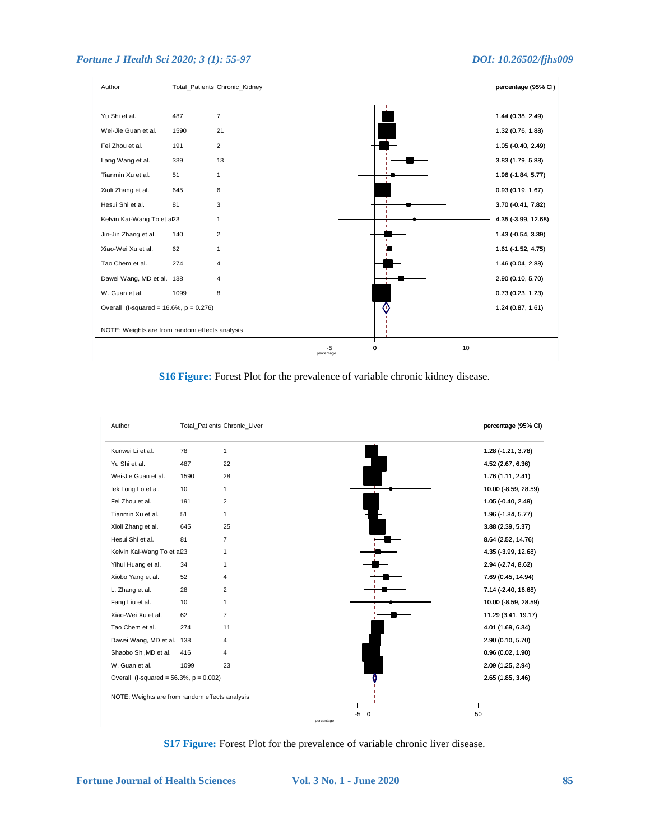

**S16 Figure:** Forest Plot for the prevalence of variable chronic kidney disease.



**S17 Figure:** Forest Plot for the prevalence of variable chronic liver disease.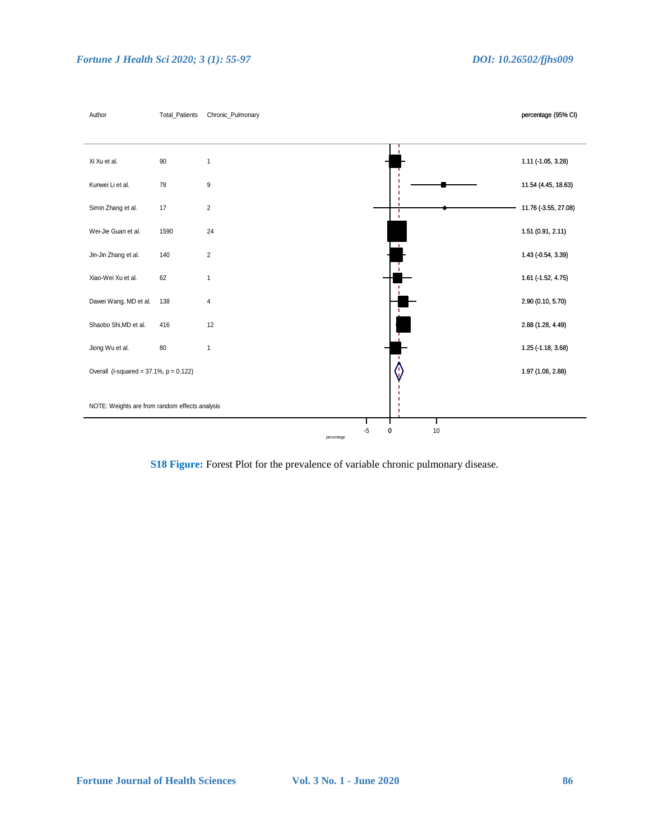

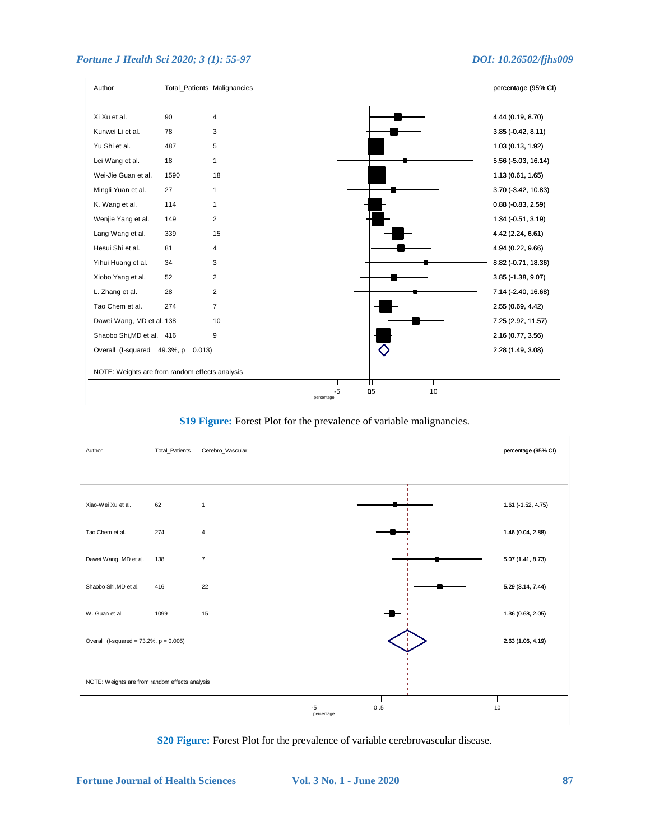

## **S19 Figure:** Forest Plot for the prevalence of variable malignancies.

| Author                                         | Total_Patients | Cerebro_Vascular |                  |                  | percentage (95% CI) |
|------------------------------------------------|----------------|------------------|------------------|------------------|---------------------|
|                                                |                |                  |                  |                  |                     |
| Xiao-Wei Xu et al.                             | 62             | $\mathbf{1}$     |                  |                  | 1.61 (-1.52, 4.75)  |
| Tao Chem et al.                                | 274            | 4                |                  |                  | 1.46 (0.04, 2.88)   |
| Dawei Wang, MD et al.                          | 138            | $\overline{7}$   |                  |                  | 5.07 (1.41, 8.73)   |
| Shaobo Shi, MD et al.                          | 416            | 22               |                  |                  | 5.29 (3.14, 7.44)   |
| W. Guan et al.                                 | 1099           | 15               |                  |                  | 1.36 (0.68, 2.05)   |
| Overall (I-squared = $73.2\%$ , $p = 0.005$ )  |                |                  |                  |                  | 2.63 (1.06, 4.19)   |
| NOTE: Weights are from random effects analysis |                |                  |                  |                  |                     |
|                                                |                |                  | -5<br>percentage | l l<br>0.5<br>10 |                     |

### **S20 Figure:** Forest Plot for the prevalence of variable cerebrovascular disease.

**Fortune Journal of Health Sciences Vol. 3 No. 1 - June 2020 87**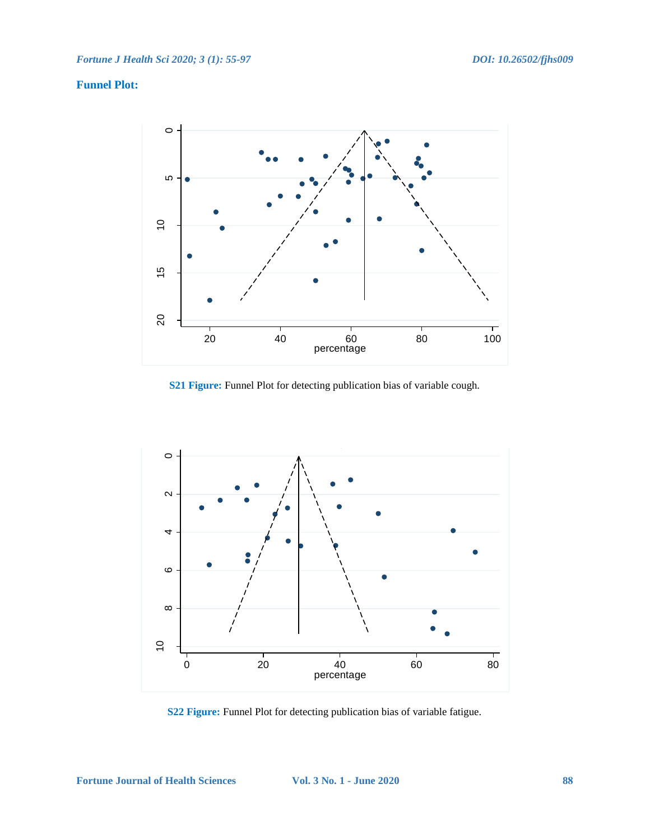## **Funnel Plot:**



**S21 Figure:** Funnel Plot for detecting publication bias of variable cough.



**S22 Figure:** Funnel Plot for detecting publication bias of variable fatigue.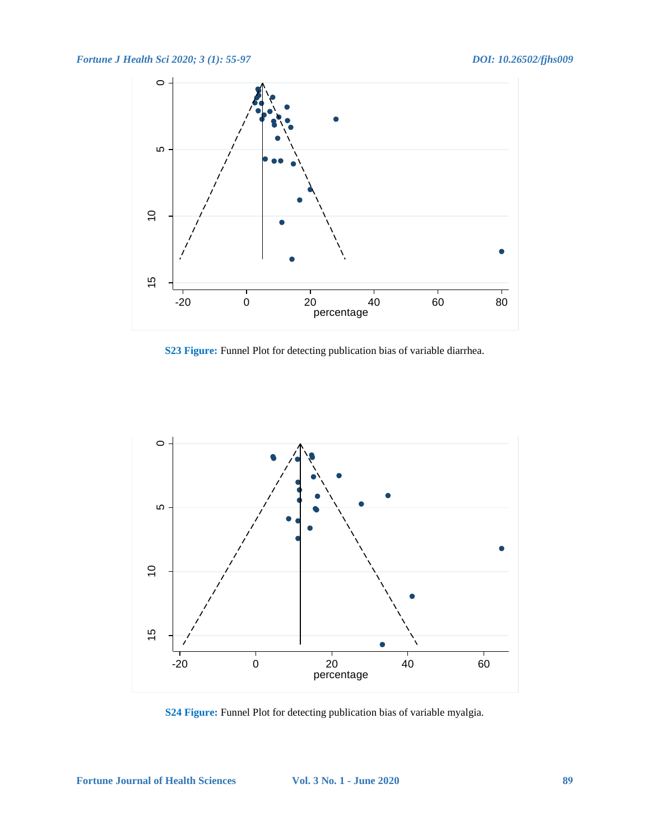

**S23 Figure:** Funnel Plot for detecting publication bias of variable diarrhea.



**S24 Figure:** Funnel Plot for detecting publication bias of variable myalgia.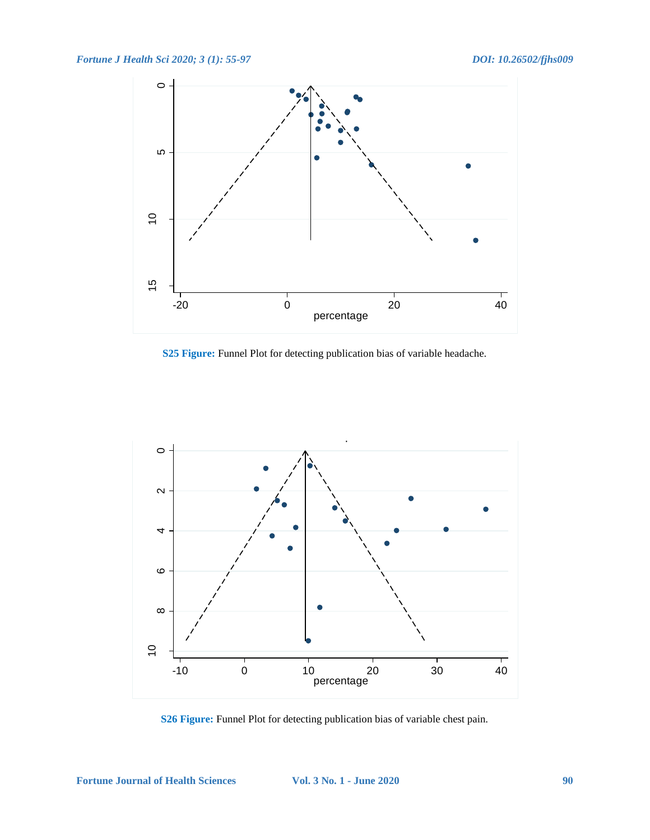

**S25 Figure:** Funnel Plot for detecting publication bias of variable headache.



**S26 Figure:** Funnel Plot for detecting publication bias of variable chest pain.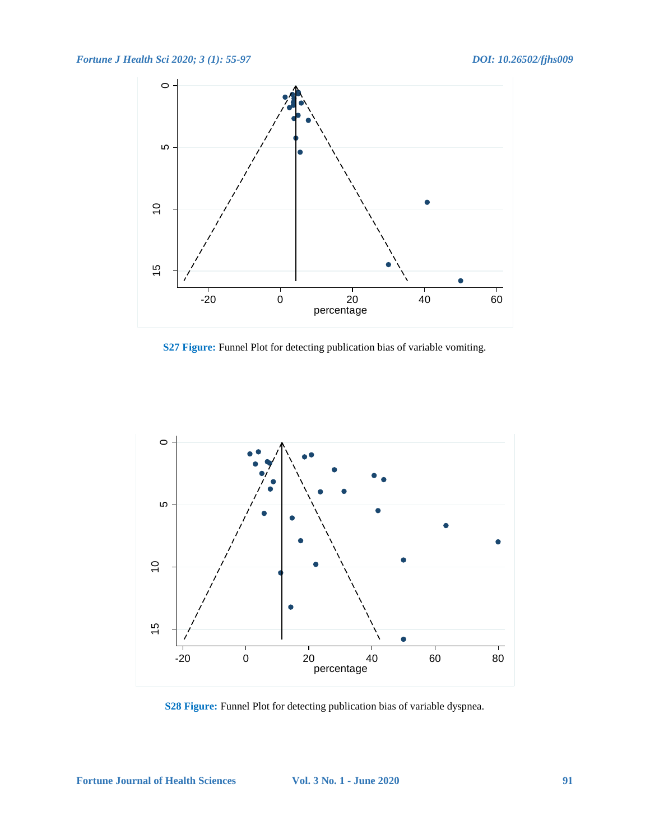

**S27 Figure:** Funnel Plot for detecting publication bias of variable vomiting.



**S28 Figure:** Funnel Plot for detecting publication bias of variable dyspnea.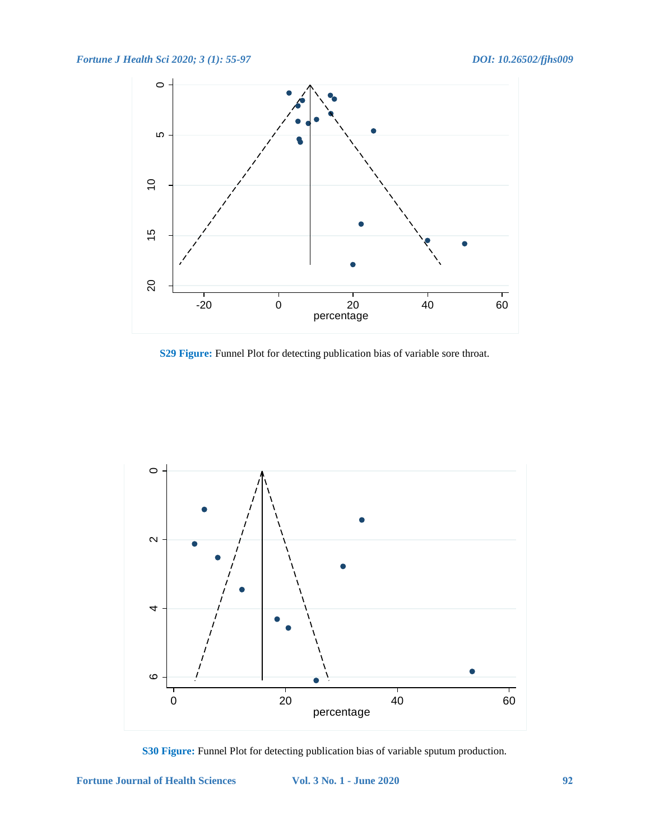

**S29 Figure:** Funnel Plot for detecting publication bias of variable sore throat.



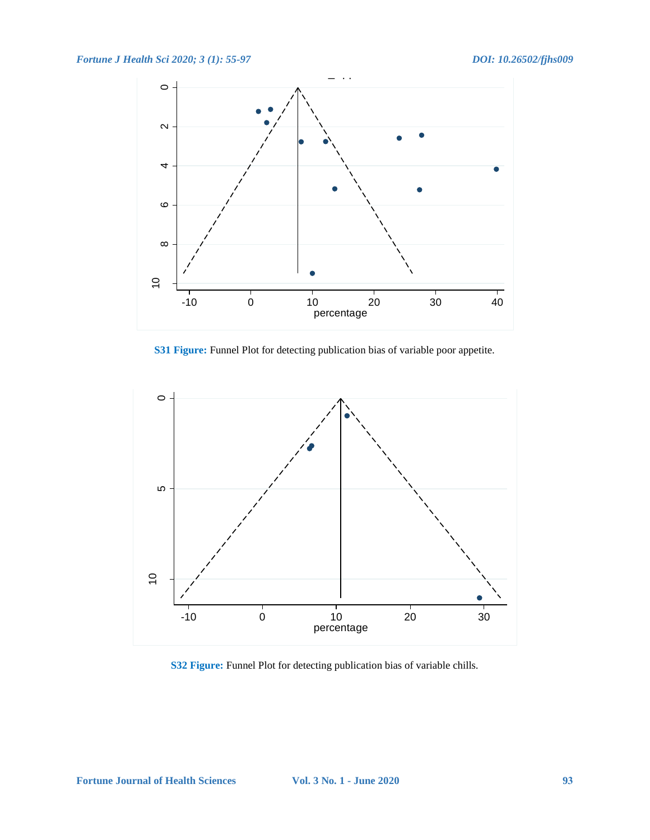

**S31 Figure:** Funnel Plot for detecting publication bias of variable poor appetite.



**S32 Figure:** Funnel Plot for detecting publication bias of variable chills.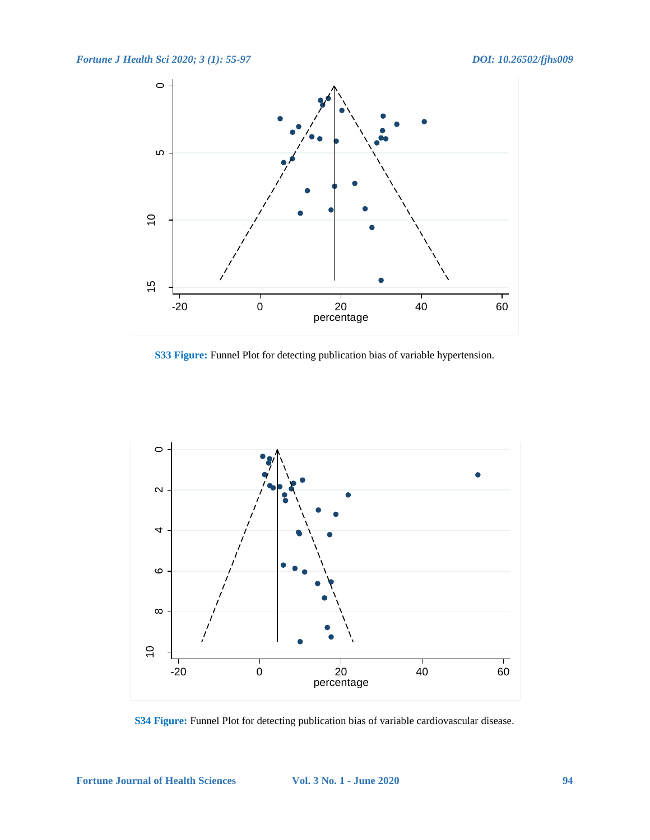

**S33 Figure:** Funnel Plot for detecting publication bias of variable hypertension.



**S34 Figure:** Funnel Plot for detecting publication bias of variable cardiovascular disease.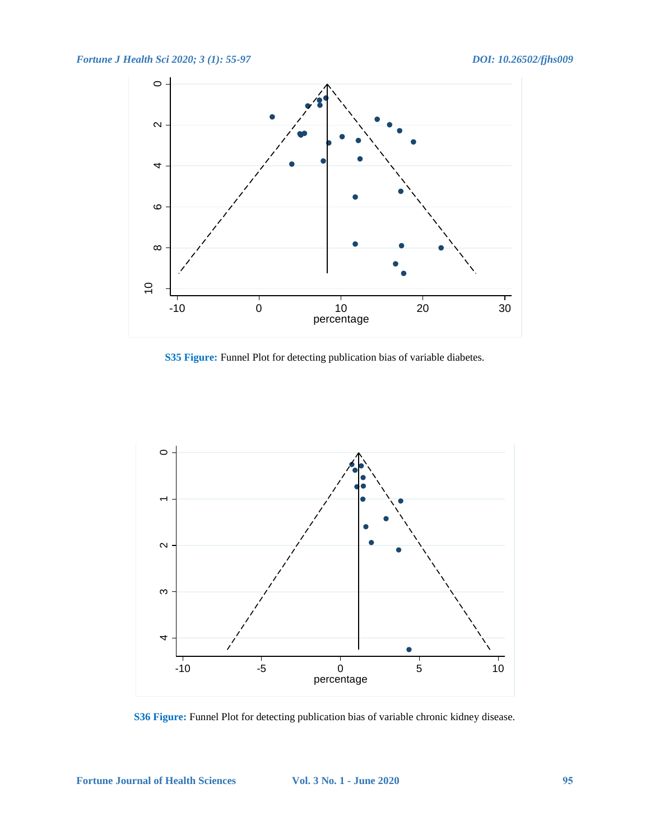

**S35 Figure:** Funnel Plot for detecting publication bias of variable diabetes.



**S36 Figure:** Funnel Plot for detecting publication bias of variable chronic kidney disease.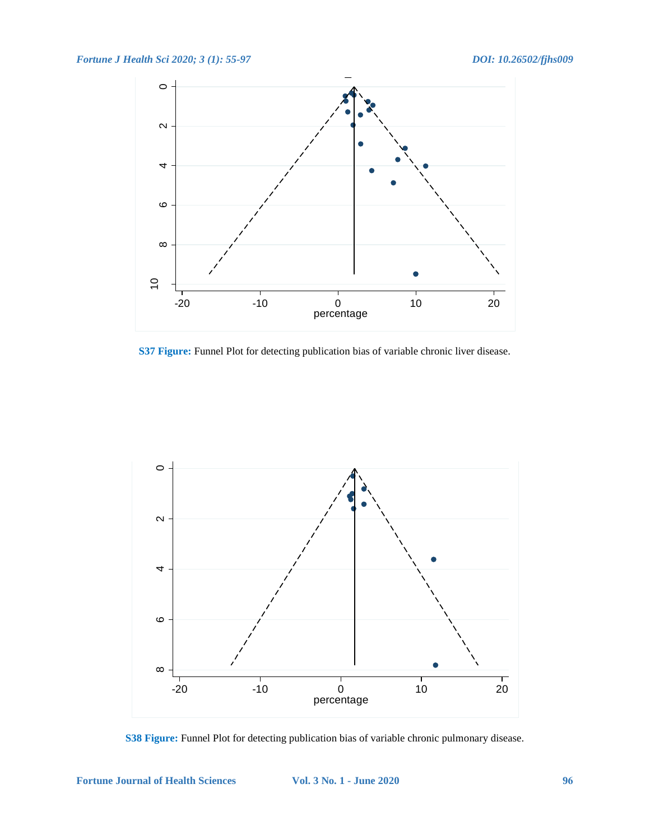

**S37 Figure:** Funnel Plot for detecting publication bias of variable chronic liver disease.



**S38 Figure:** Funnel Plot for detecting publication bias of variable chronic pulmonary disease.